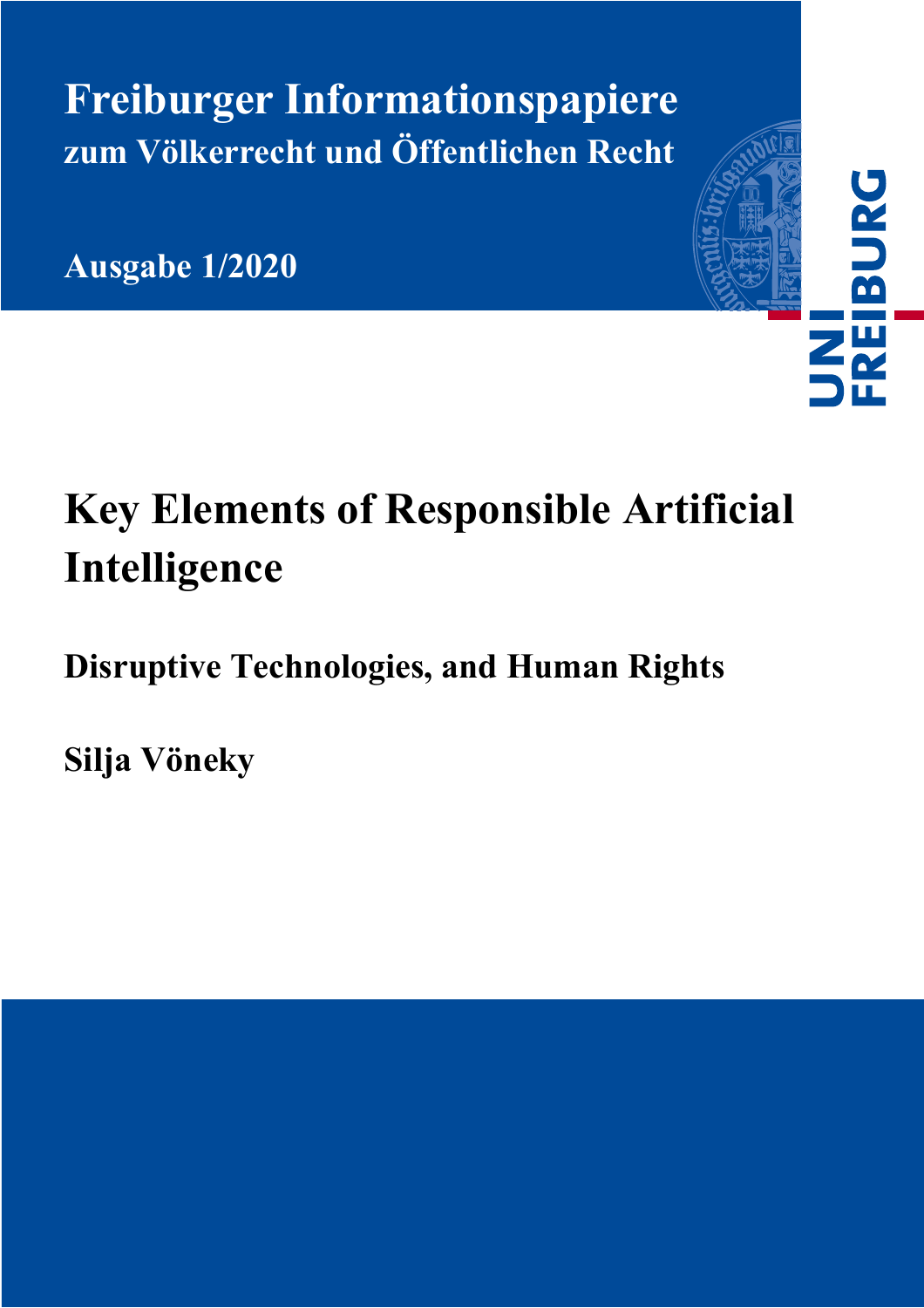**Freiburger Informationspapiere zum Völkerrecht und Öffentlichen Recht**

**Ausgabe 1/2020** 

# **Key Elements of Responsible Artificial Intelligence**

UNI<br>FREIBURG<br>I

## **Disruptive Technologies, and Human Rights**

**Silja Vöneky**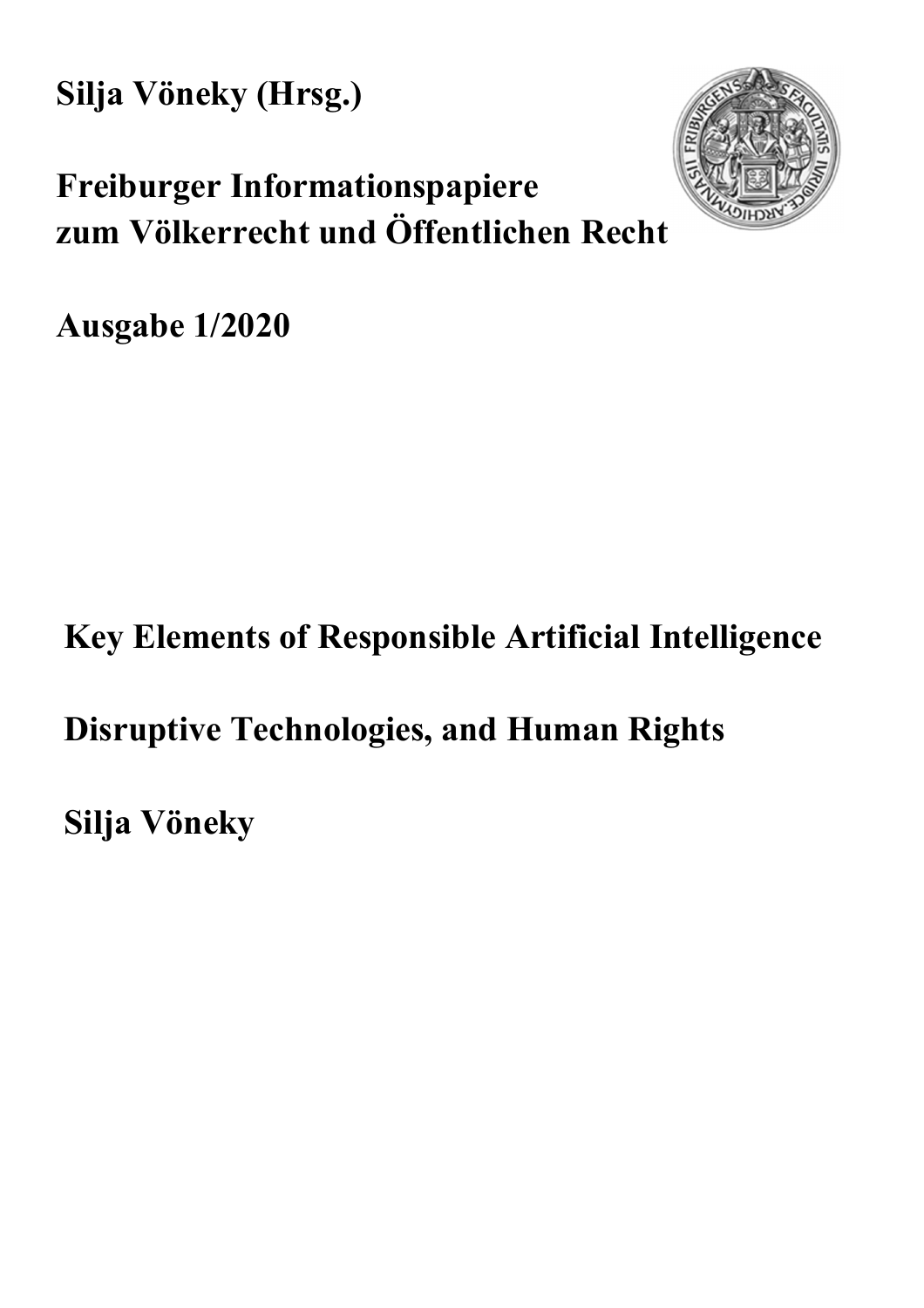**Silja Vöneky (Hrsg.)** 



## **Freiburger Informationspapiere zum Völkerrecht und Öffentlichen Recht**

**Ausgabe 1/2020** 

## **Key Elements of Responsible Artificial Intelligence**

### **Disruptive Technologies, and Human Rights**

**Silja Vöneky**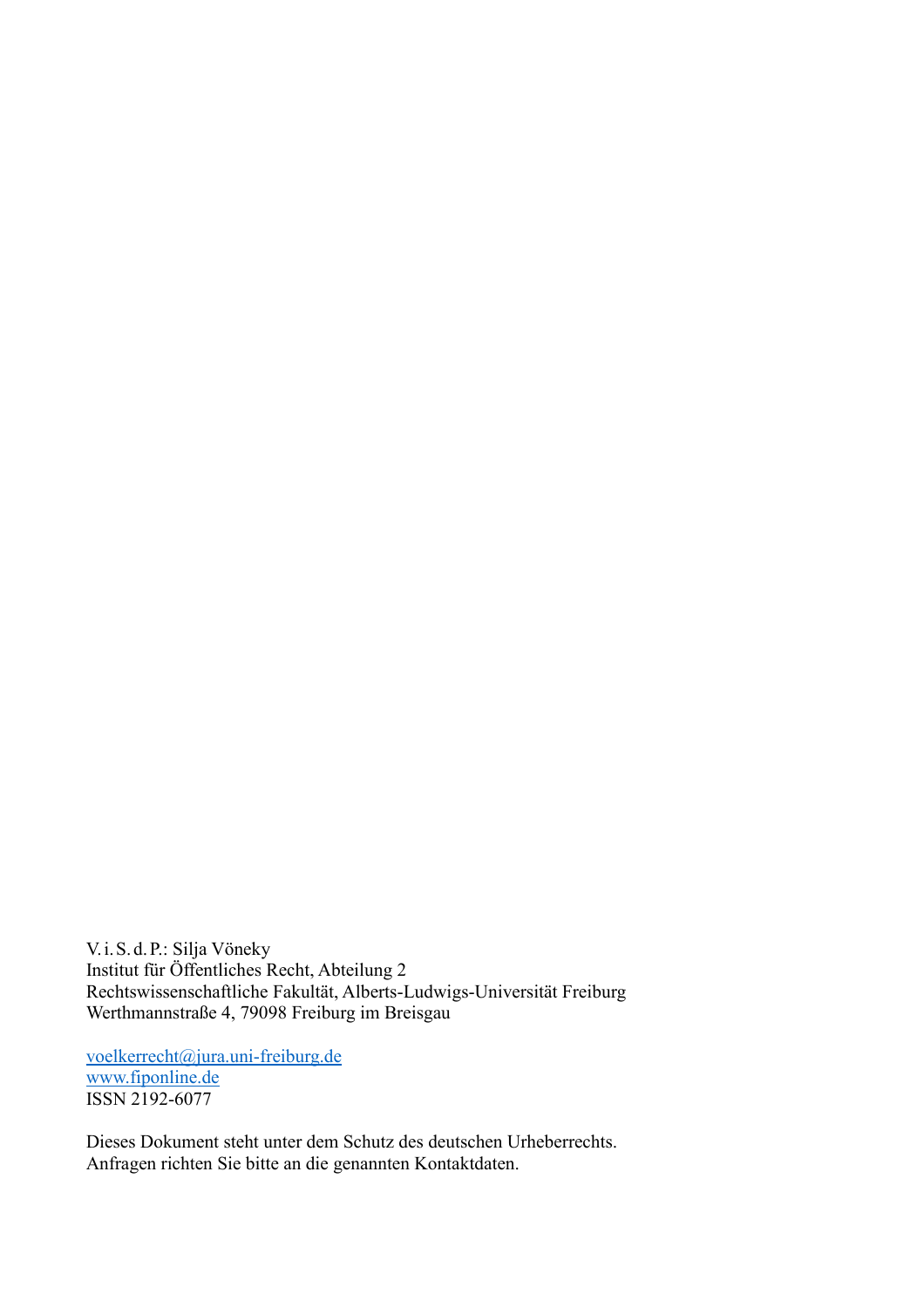V.i.S.d.P.: Silja Vöneky Institut für Öffentliches Recht, Abteilung 2 Rechtswissenschaftliche Fakultät, Alberts-Ludwigs-Universität Freiburg Werthmannstraße 4, 79098 Freiburg im Breisgau

voelkerrecht@jura.uni-freiburg.de www.fiponline.de ISSN 2192-6077

Dieses Dokument steht unter dem Schutz des deutschen Urheberrechts. Anfragen richten Sie bitte an die genannten Kontaktdaten.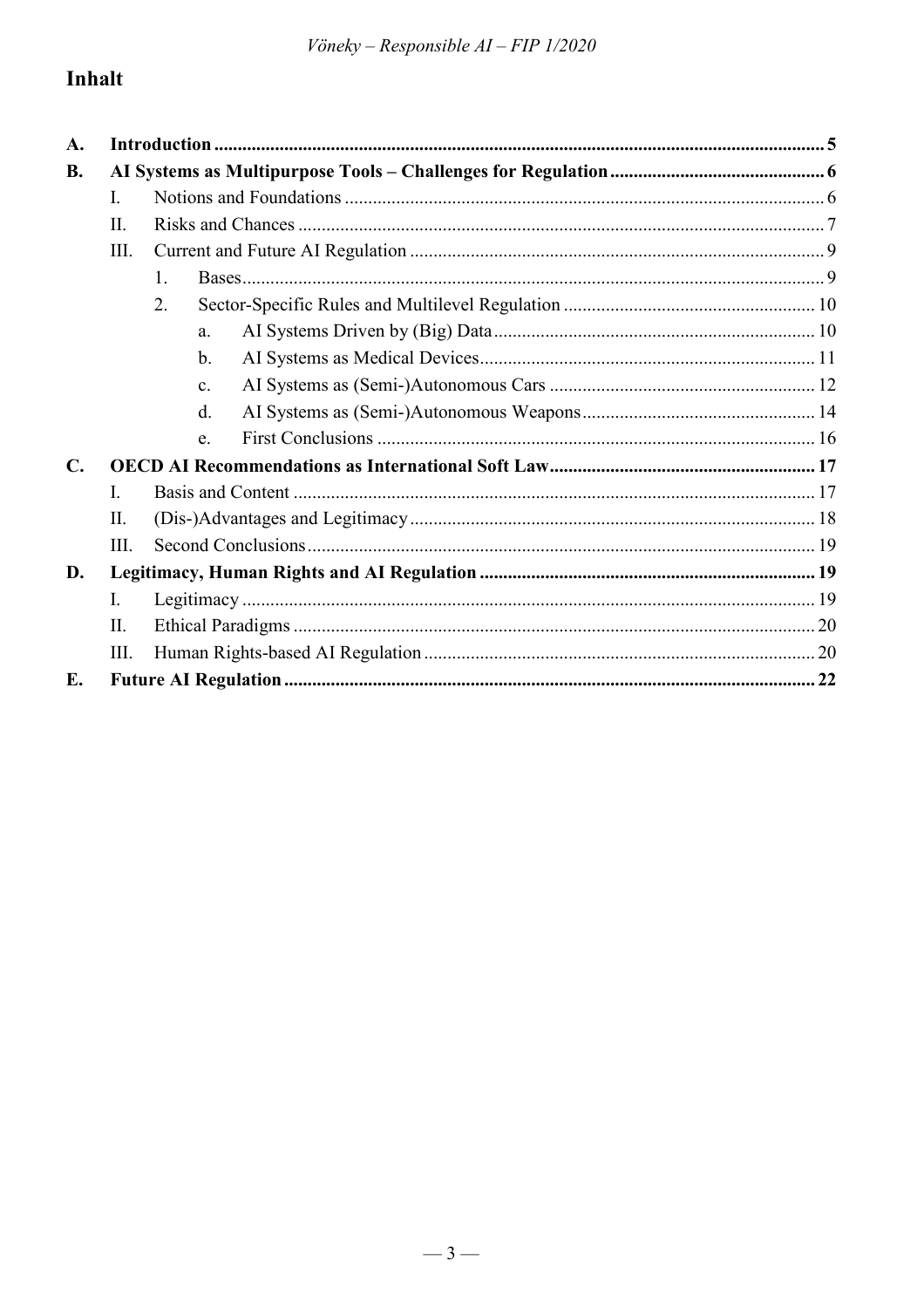### Inhalt

| A.                   |      |                |
|----------------------|------|----------------|
| <b>B.</b>            |      |                |
|                      | L.   |                |
|                      | II.  |                |
|                      | Ш.   |                |
|                      |      | 1.             |
| $\mathbf{C}$ .<br>E. |      | 2.             |
|                      |      | a <sub>1</sub> |
|                      |      | $\mathbf b$ .  |
|                      |      | $\mathbf{c}$ . |
|                      |      | d.             |
|                      |      | e.             |
|                      |      |                |
|                      | L    |                |
|                      | II.  |                |
|                      | III. |                |
| D.                   |      |                |
|                      | L.   |                |
|                      | II.  |                |
|                      | III. |                |
|                      |      |                |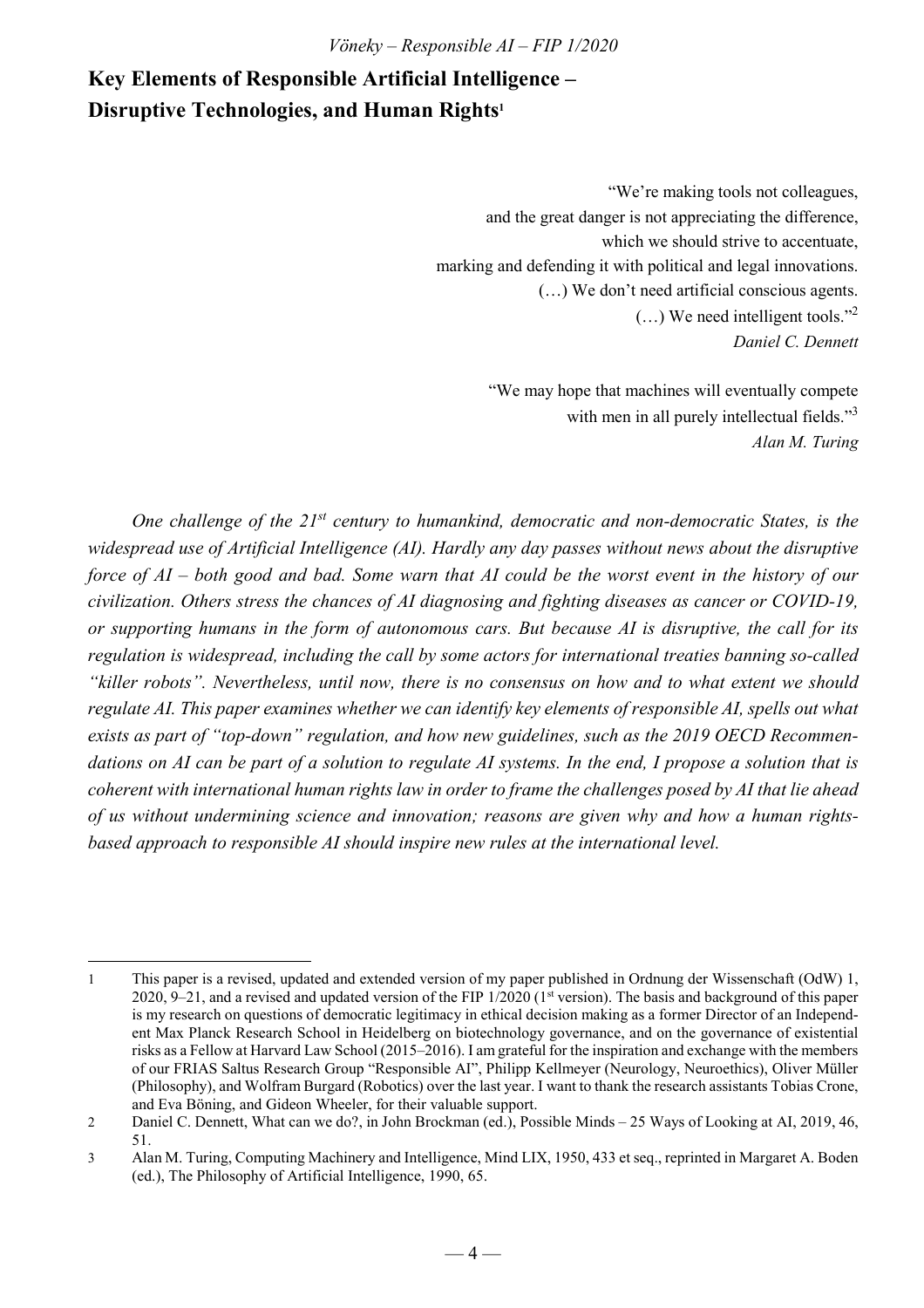### **Key Elements of Responsible Artificial Intelligence – Disruptive Technologies, and Human Rights<sup>1</sup>**

"We're making tools not colleagues, and the great danger is not appreciating the difference, which we should strive to accentuate, marking and defending it with political and legal innovations. (…) We don't need artificial conscious agents.  $(...)$  We need intelligent tools."<sup>2</sup> *Daniel C. Dennett* 

> "We may hope that machines will eventually compete with men in all purely intellectual fields."<sup>3</sup> *Alan M. Turing*

*One challenge of the 21st century to humankind, democratic and non-democratic States, is the widespread use of Artificial Intelligence (AI). Hardly any day passes without news about the disruptive force of AI – both good and bad. Some warn that AI could be the worst event in the history of our civilization. Others stress the chances of AI diagnosing and fighting diseases as cancer or COVID-19, or supporting humans in the form of autonomous cars. But because AI is disruptive, the call for its regulation is widespread, including the call by some actors for international treaties banning so-called "killer robots". Nevertheless, until now, there is no consensus on how and to what extent we should regulate AI. This paper examines whether we can identify key elements of responsible AI, spells out what exists as part of "top-down" regulation, and how new guidelines, such as the 2019 OECD Recommendations on AI can be part of a solution to regulate AI systems. In the end, I propose a solution that is coherent with international human rights law in order to frame the challenges posed by AI that lie ahead of us without undermining science and innovation; reasons are given why and how a human rightsbased approach to responsible AI should inspire new rules at the international level.* 

 $\overline{a}$ 1 This paper is a revised, updated and extended version of my paper published in Ordnung der Wissenschaft (OdW) 1, 2020, 9–21, and a revised and updated version of the FIP  $1/2020$  ( $1<sup>st</sup>$  version). The basis and background of this paper is my research on questions of democratic legitimacy in ethical decision making as a former Director of an Independent Max Planck Research School in Heidelberg on biotechnology governance, and on the governance of existential risks as a Fellow at Harvard Law School (2015–2016). I am grateful for the inspiration and exchange with the members of our FRIAS Saltus Research Group "Responsible AI", Philipp Kellmeyer (Neurology, Neuroethics), Oliver Müller (Philosophy), and Wolfram Burgard (Robotics) over the last year. I want to thank the research assistants Tobias Crone, and Eva Böning, and Gideon Wheeler, for their valuable support.

<sup>2</sup> Daniel C. Dennett, What can we do?, in John Brockman (ed.), Possible Minds – 25 Ways of Looking at AI, 2019, 46, 51.

<sup>3</sup> Alan M. Turing, Computing Machinery and Intelligence, Mind LIX, 1950, 433 et seq., reprinted in Margaret A. Boden (ed.), The Philosophy of Artificial Intelligence, 1990, 65.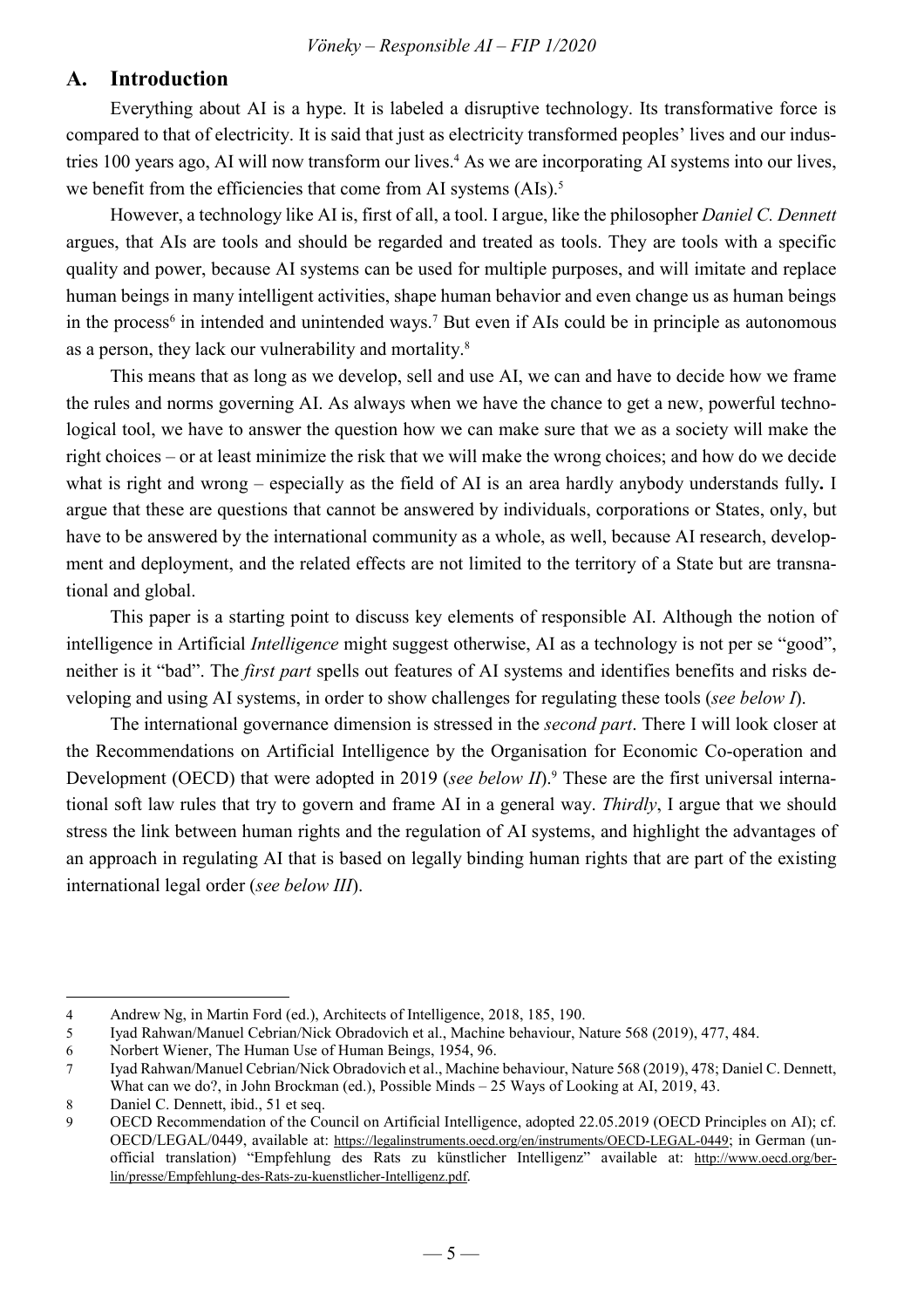#### **A. Introduction**

Everything about AI is a hype. It is labeled a disruptive technology. Its transformative force is compared to that of electricity. It is said that just as electricity transformed peoples' lives and our industries 100 years ago, AI will now transform our lives.<sup>4</sup> As we are incorporating AI systems into our lives, we benefit from the efficiencies that come from AI systems (AIs).<sup>5</sup>

However, a technology like AI is, first of all, a tool. I argue, like the philosopher *Daniel C. Dennett* argues, that AIs are tools and should be regarded and treated as tools. They are tools with a specific quality and power, because AI systems can be used for multiple purposes, and will imitate and replace human beings in many intelligent activities, shape human behavior and even change us as human beings in the process<sup>6</sup> in intended and unintended ways.<sup>7</sup> But even if AIs could be in principle as autonomous as a person, they lack our vulnerability and mortality.<sup>8</sup>

This means that as long as we develop, sell and use AI, we can and have to decide how we frame the rules and norms governing AI. As always when we have the chance to get a new, powerful technological tool, we have to answer the question how we can make sure that we as a society will make the right choices – or at least minimize the risk that we will make the wrong choices; and how do we decide what is right and wrong – especially as the field of AI is an area hardly anybody understands fully**.** I argue that these are questions that cannot be answered by individuals, corporations or States, only, but have to be answered by the international community as a whole, as well, because AI research, development and deployment, and the related effects are not limited to the territory of a State but are transnational and global.

This paper is a starting point to discuss key elements of responsible AI. Although the notion of intelligence in Artificial *Intelligence* might suggest otherwise, AI as a technology is not per se "good", neither is it "bad". The *first part* spells out features of AI systems and identifies benefits and risks developing and using AI systems, in order to show challenges for regulating these tools (*see below I*).

The international governance dimension is stressed in the *second part*. There I will look closer at the Recommendations on Artificial Intelligence by the Organisation for Economic Co-operation and Development (OECD) that were adopted in 2019 (*see below II*).<sup>9</sup> These are the first universal international soft law rules that try to govern and frame AI in a general way. *Thirdly*, I argue that we should stress the link between human rights and the regulation of AI systems, and highlight the advantages of an approach in regulating AI that is based on legally binding human rights that are part of the existing international legal order (*see below III*).

<sup>4</sup> Andrew Ng, in Martin Ford (ed.), Architects of Intelligence, 2018, 185, 190.

<sup>5</sup> Iyad Rahwan/Manuel Cebrian/Nick Obradovich et al., Machine behaviour, Nature 568 (2019), 477, 484.

<sup>6</sup> Norbert Wiener, The Human Use of Human Beings, 1954, 96.

<sup>7</sup> Iyad Rahwan/Manuel Cebrian/Nick Obradovich et al., Machine behaviour, Nature 568 (2019), 478; Daniel C. Dennett, What can we do?, in John Brockman (ed.), Possible Minds – 25 Ways of Looking at AI, 2019, 43.

<sup>8</sup> Daniel C. Dennett, ibid., 51 et seq.

<sup>9</sup> OECD Recommendation of the Council on Artificial Intelligence, adopted 22.05.2019 (OECD Principles on AI); cf. OECD/LEGAL/0449, available at: https://legalinstruments.oecd.org/en/instruments/OECD-LEGAL-0449; in German (unofficial translation) "Empfehlung des Rats zu künstlicher Intelligenz" available at: http://www.oecd.org/berlin/presse/Empfehlung-des-Rats-zu-kuenstlicher-Intelligenz.pdf.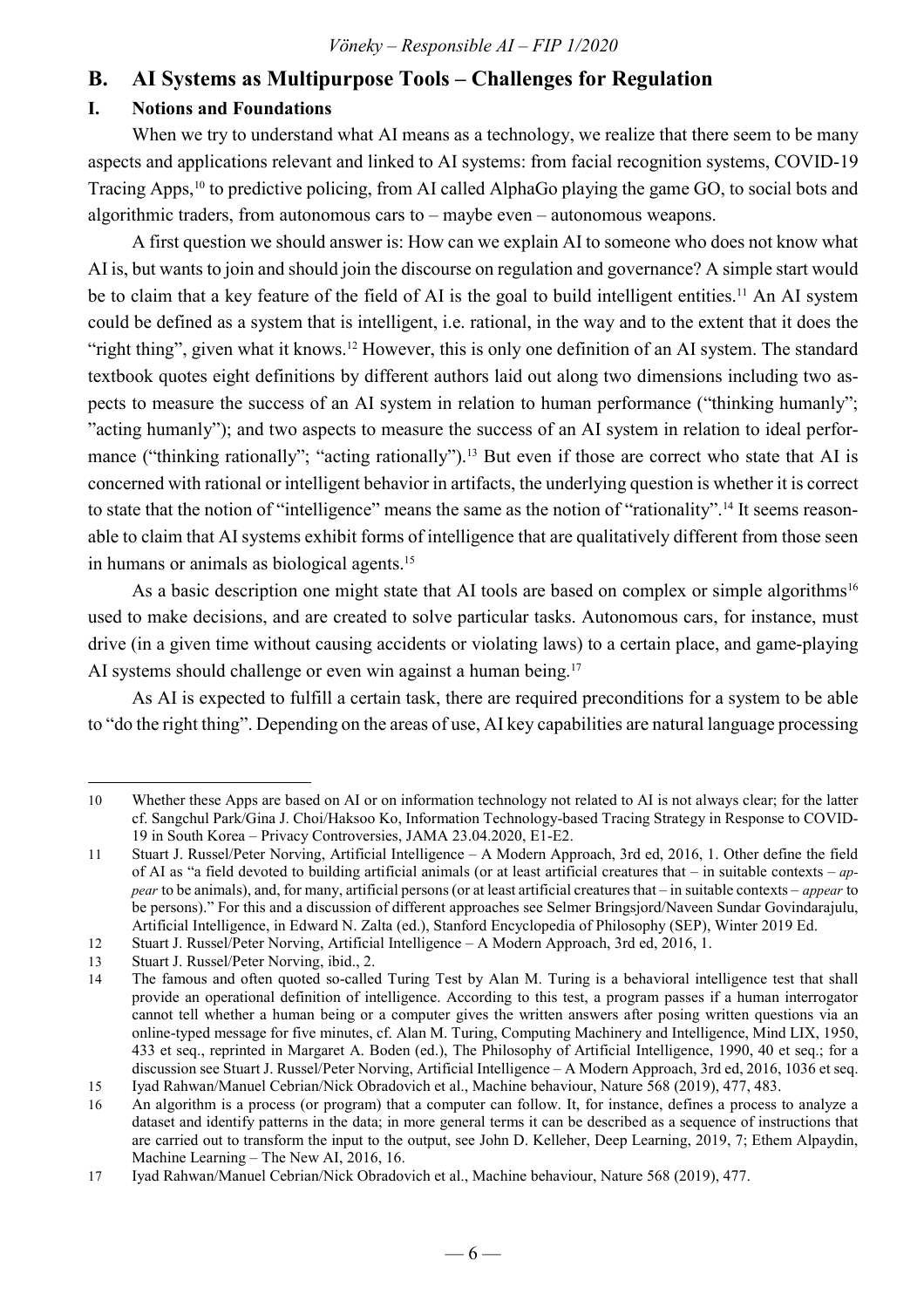### **B. AI Systems as Multipurpose Tools – Challenges for Regulation**

#### **I. Notions and Foundations**

When we try to understand what AI means as a technology, we realize that there seem to be many aspects and applications relevant and linked to AI systems: from facial recognition systems, COVID-19 Tracing Apps,<sup>10</sup> to predictive policing, from AI called AlphaGo playing the game GO, to social bots and algorithmic traders, from autonomous cars to – maybe even – autonomous weapons.

A first question we should answer is: How can we explain AI to someone who does not know what AI is, but wants to join and should join the discourse on regulation and governance? A simple start would be to claim that a key feature of the field of AI is the goal to build intelligent entities.<sup>11</sup> An AI system could be defined as a system that is intelligent, i.e. rational, in the way and to the extent that it does the "right thing", given what it knows.<sup>12</sup> However, this is only one definition of an AI system. The standard textbook quotes eight definitions by different authors laid out along two dimensions including two aspects to measure the success of an AI system in relation to human performance ("thinking humanly"; "acting humanly"); and two aspects to measure the success of an AI system in relation to ideal performance ("thinking rationally"; "acting rationally").<sup>13</sup> But even if those are correct who state that AI is concerned with rational or intelligent behavior in artifacts, the underlying question is whether it is correct to state that the notion of "intelligence" means the same as the notion of "rationality".14 It seems reasonable to claim that AI systems exhibit forms of intelligence that are qualitatively different from those seen in humans or animals as biological agents.<sup>15</sup>

As a basic description one might state that AI tools are based on complex or simple algorithms<sup>16</sup> used to make decisions, and are created to solve particular tasks. Autonomous cars, for instance, must drive (in a given time without causing accidents or violating laws) to a certain place, and game-playing AI systems should challenge or even win against a human being.<sup>17</sup>

As AI is expected to fulfill a certain task, there are required preconditions for a system to be able to "do the right thing". Depending on the areas of use, AI key capabilities are natural language processing

 $\overline{a}$ 10 Whether these Apps are based on AI or on information technology not related to AI is not always clear; for the latter cf. Sangchul Park/Gina J. Choi/Haksoo Ko, Information Technology-based Tracing Strategy in Response to COVID-19 in South Korea – Privacy Controversies, JAMA 23.04.2020, E1-E2.

<sup>11</sup> Stuart J. Russel/Peter Norving, Artificial Intelligence – A Modern Approach, 3rd ed, 2016, 1. Other define the field of AI as "a field devoted to building artificial animals (or at least artificial creatures that – in suitable contexts – *appear* to be animals), and, for many, artificial persons (or at least artificial creatures that – in suitable contexts – *appear* to be persons)." For this and a discussion of different approaches see Selmer Bringsjord/Naveen Sundar Govindarajulu, Artificial Intelligence, in Edward N. Zalta (ed.), Stanford Encyclopedia of Philosophy (SEP), Winter 2019 Ed.

<sup>12</sup> Stuart J. Russel/Peter Norving, Artificial Intelligence – A Modern Approach, 3rd ed, 2016, 1.

<sup>13</sup> Stuart J. Russel/Peter Norving, ibid., 2.

<sup>14</sup> The famous and often quoted so-called Turing Test by Alan M. Turing is a behavioral intelligence test that shall provide an operational definition of intelligence. According to this test, a program passes if a human interrogator cannot tell whether a human being or a computer gives the written answers after posing written questions via an online-typed message for five minutes, cf. Alan M. Turing, Computing Machinery and Intelligence, Mind LIX, 1950, 433 et seq., reprinted in Margaret A. Boden (ed.), The Philosophy of Artificial Intelligence, 1990, 40 et seq.; for a discussion see Stuart J. Russel/Peter Norving, Artificial Intelligence – A Modern Approach, 3rd ed, 2016, 1036 et seq.

<sup>15</sup> Iyad Rahwan/Manuel Cebrian/Nick Obradovich et al., Machine behaviour, Nature 568 (2019), 477, 483.

<sup>16</sup> An algorithm is a process (or program) that a computer can follow. It, for instance, defines a process to analyze a dataset and identify patterns in the data; in more general terms it can be described as a sequence of instructions that are carried out to transform the input to the output, see John D. Kelleher, Deep Learning, 2019, 7; Ethem Alpaydin, Machine Learning – The New AI, 2016, 16.

<sup>17</sup> Iyad Rahwan/Manuel Cebrian/Nick Obradovich et al., Machine behaviour, Nature 568 (2019), 477.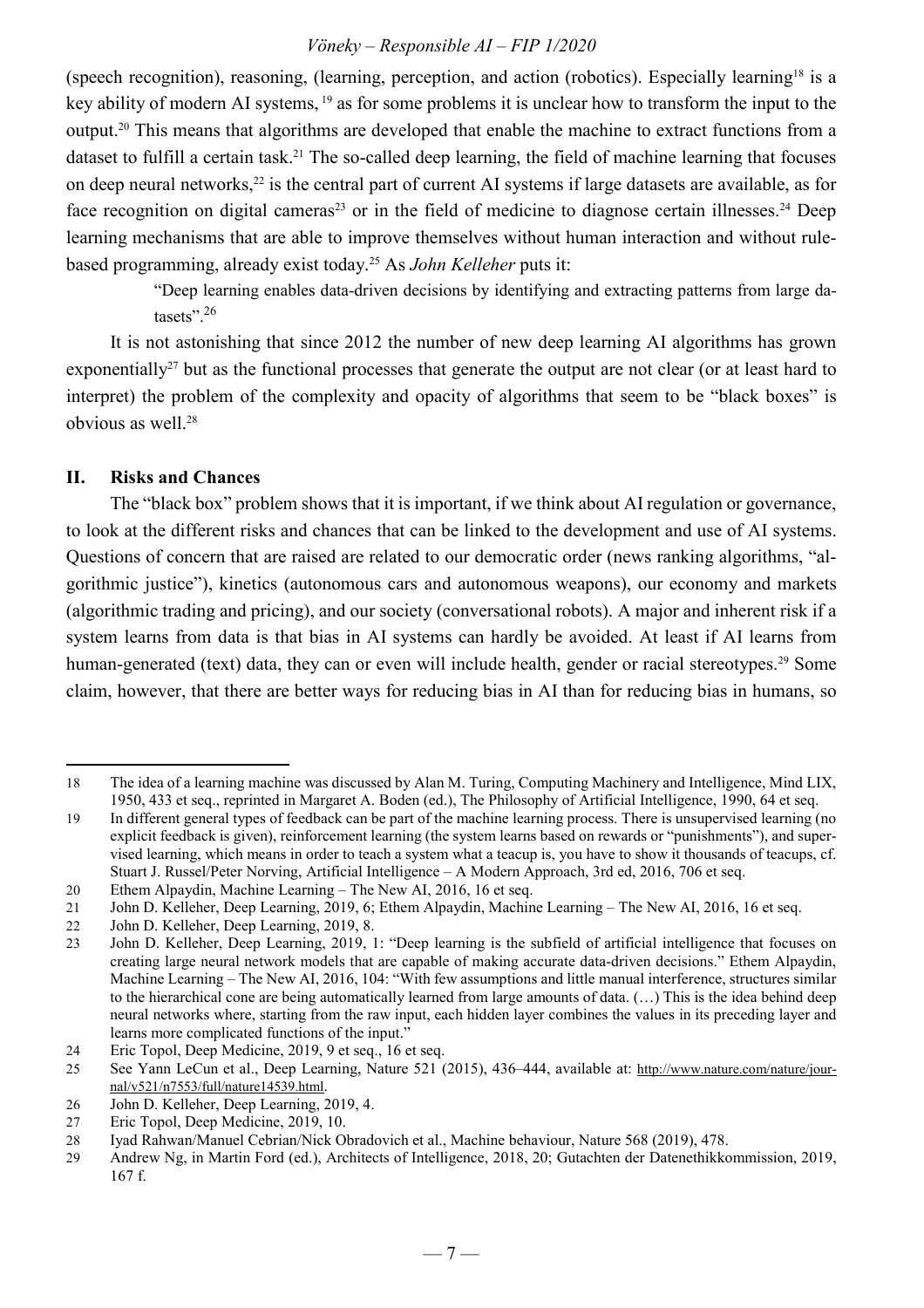(speech recognition), reasoning, (learning, perception, and action (robotics). Especially learning<sup>18</sup> is a key ability of modern AI systems,<sup>19</sup> as for some problems it is unclear how to transform the input to the output.<sup>20</sup> This means that algorithms are developed that enable the machine to extract functions from a dataset to fulfill a certain task.<sup>21</sup> The so-called deep learning, the field of machine learning that focuses on deep neural networks,<sup>22</sup> is the central part of current AI systems if large datasets are available, as for face recognition on digital cameras<sup>23</sup> or in the field of medicine to diagnose certain illnesses.<sup>24</sup> Deep learning mechanisms that are able to improve themselves without human interaction and without rulebased programming, already exist today.<sup>25</sup> As *John Kelleher* puts it:

> "Deep learning enables data-driven decisions by identifying and extracting patterns from large datasets".<sup>26</sup>

It is not astonishing that since 2012 the number of new deep learning AI algorithms has grown exponentially<sup>27</sup> but as the functional processes that generate the output are not clear (or at least hard to interpret) the problem of the complexity and opacity of algorithms that seem to be "black boxes" is obvious as well.<sup>28</sup>

#### **II. Risks and Chances**

 $\overline{a}$ 

The "black box" problem shows that it is important, if we think about AI regulation or governance, to look at the different risks and chances that can be linked to the development and use of AI systems. Questions of concern that are raised are related to our democratic order (news ranking algorithms, "algorithmic justice"), kinetics (autonomous cars and autonomous weapons), our economy and markets (algorithmic trading and pricing), and our society (conversational robots). A major and inherent risk if a system learns from data is that bias in AI systems can hardly be avoided. At least if AI learns from human-generated (text) data, they can or even will include health, gender or racial stereotypes.<sup>29</sup> Some claim, however, that there are better ways for reducing bias in AI than for reducing bias in humans, so

<sup>18</sup> The idea of a learning machine was discussed by Alan M. Turing, Computing Machinery and Intelligence, Mind LIX, 1950, 433 et seq., reprinted in Margaret A. Boden (ed.), The Philosophy of Artificial Intelligence, 1990, 64 et seq.

<sup>19</sup> In different general types of feedback can be part of the machine learning process. There is unsupervised learning (no explicit feedback is given), reinforcement learning (the system learns based on rewards or "punishments"), and supervised learning, which means in order to teach a system what a teacup is, you have to show it thousands of teacups, cf. Stuart J. Russel/Peter Norving, Artificial Intelligence – A Modern Approach, 3rd ed, 2016, 706 et seq.

<sup>20</sup> Ethem Alpaydin, Machine Learning – The New AI, 2016, 16 et seq.

<sup>21</sup> John D. Kelleher, Deep Learning, 2019, 6; Ethem Alpaydin, Machine Learning – The New AI, 2016, 16 et seq.

<sup>22</sup> John D. Kelleher, Deep Learning, 2019, 8.<br>23 John D. Kelleher, Deep Learning, 2019, 1

John D. Kelleher, Deep Learning, 2019, 1: "Deep learning is the subfield of artificial intelligence that focuses on creating large neural network models that are capable of making accurate data-driven decisions." Ethem Alpaydin, Machine Learning – The New AI, 2016, 104: "With few assumptions and little manual interference, structures similar to the hierarchical cone are being automatically learned from large amounts of data. (…) This is the idea behind deep neural networks where, starting from the raw input, each hidden layer combines the values in its preceding layer and learns more complicated functions of the input."

<sup>24</sup> Eric Topol, Deep Medicine, 2019, 9 et seq., 16 et seq.

<sup>25</sup> See Yann LeCun et al., Deep Learning, Nature 521 (2015), 436–444, available at: http://www.nature.com/nature/journal/v521/n7553/full/nature14539.html.

<sup>26</sup> John D. Kelleher, Deep Learning, 2019, 4.

<sup>27</sup> Eric Topol, Deep Medicine, 2019, 10.

<sup>28</sup> Iyad Rahwan/Manuel Cebrian/Nick Obradovich et al., Machine behaviour, Nature 568 (2019), 478.

<sup>29</sup> Andrew Ng, in Martin Ford (ed.), Architects of Intelligence, 2018, 20; Gutachten der Datenethikkommission, 2019, 167 f.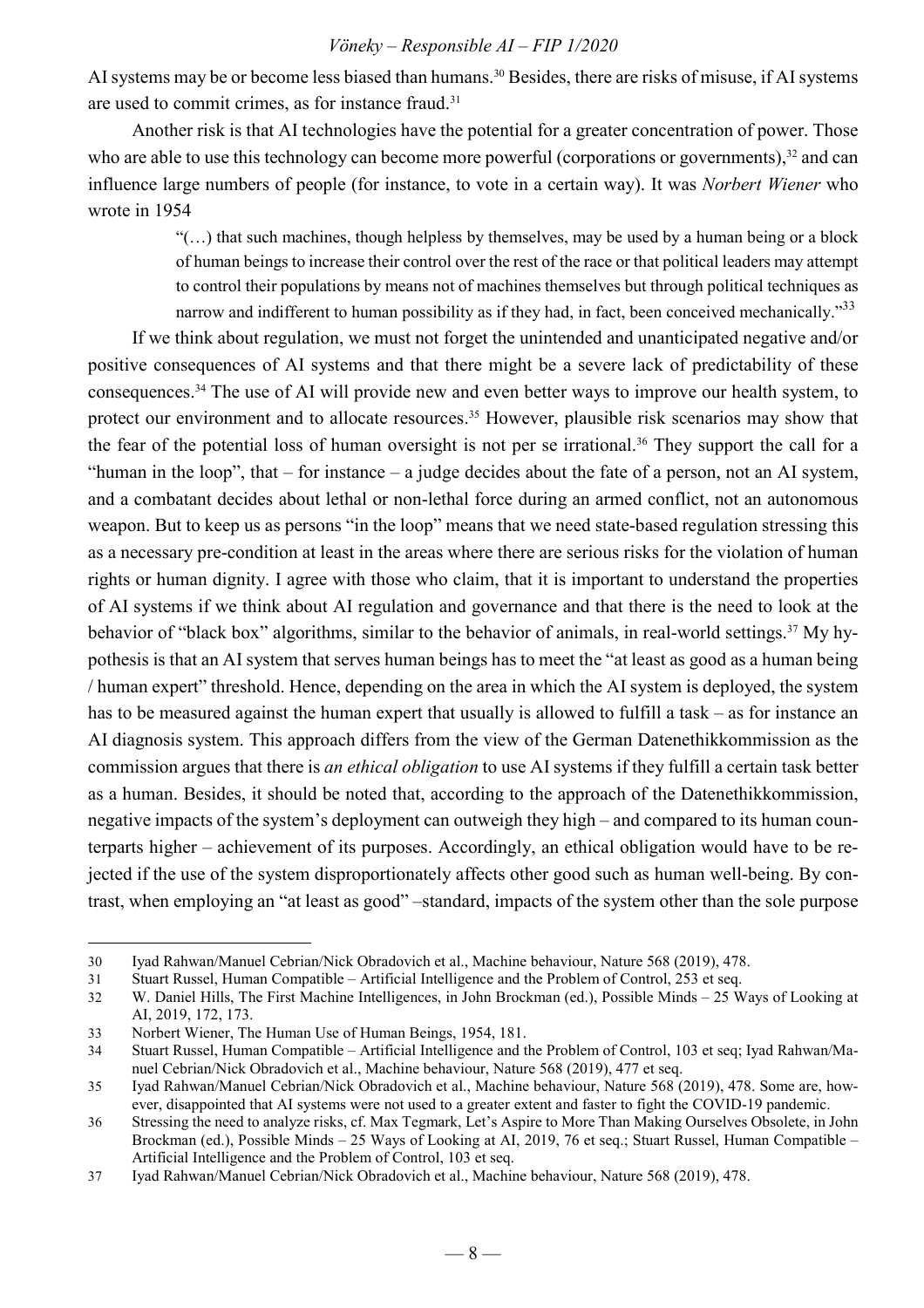AI systems may be or become less biased than humans. <sup>30</sup> Besides, there are risks of misuse, if AI systems are used to commit crimes, as for instance fraud.<sup>31</sup>

Another risk is that AI technologies have the potential for a greater concentration of power. Those who are able to use this technology can become more powerful (corporations or governments), $32$  and can influence large numbers of people (for instance, to vote in a certain way). It was *Norbert Wiener* who wrote in 1954

> $\lq($ ...) that such machines, though helpless by themselves, may be used by a human being or a block of human beings to increase their control over the rest of the race or that political leaders may attempt to control their populations by means not of machines themselves but through political techniques as narrow and indifferent to human possibility as if they had, in fact, been conceived mechanically."<sup>33</sup>

If we think about regulation, we must not forget the unintended and unanticipated negative and/or positive consequences of AI systems and that there might be a severe lack of predictability of these consequences.<sup>34</sup> The use of AI will provide new and even better ways to improve our health system, to protect our environment and to allocate resources.<sup>35</sup> However, plausible risk scenarios may show that the fear of the potential loss of human oversight is not per se irrational.<sup>36</sup> They support the call for a "human in the loop", that – for instance – a judge decides about the fate of a person, not an AI system, and a combatant decides about lethal or non-lethal force during an armed conflict, not an autonomous weapon. But to keep us as persons "in the loop" means that we need state-based regulation stressing this as a necessary pre-condition at least in the areas where there are serious risks for the violation of human rights or human dignity. I agree with those who claim, that it is important to understand the properties of AI systems if we think about AI regulation and governance and that there is the need to look at the behavior of "black box" algorithms, similar to the behavior of animals, in real-world settings.<sup>37</sup> My hypothesis is that an AI system that serves human beings has to meet the "at least as good as a human being / human expert" threshold. Hence, depending on the area in which the AI system is deployed, the system has to be measured against the human expert that usually is allowed to fulfill a task – as for instance an AI diagnosis system. This approach differs from the view of the German Datenethikkommission as the commission argues that there is *an ethical obligation* to use AI systems if they fulfill a certain task better as a human. Besides, it should be noted that, according to the approach of the Datenethikkommission, negative impacts of the system's deployment can outweigh they high – and compared to its human counterparts higher – achievement of its purposes. Accordingly, an ethical obligation would have to be rejected if the use of the system disproportionately affects other good such as human well-being. By contrast, when employing an "at least as good" –standard, impacts of the system other than the sole purpose

<sup>30</sup> Iyad Rahwan/Manuel Cebrian/Nick Obradovich et al., Machine behaviour, Nature 568 (2019), 478.

<sup>31</sup> Stuart Russel, Human Compatible – Artificial Intelligence and the Problem of Control, 253 et seq.

<sup>32</sup> W. Daniel Hills, The First Machine Intelligences, in John Brockman (ed.), Possible Minds – 25 Ways of Looking at AI, 2019, 172, 173.

<sup>33</sup> Norbert Wiener, The Human Use of Human Beings, 1954, 181.

<sup>34</sup> Stuart Russel, Human Compatible – Artificial Intelligence and the Problem of Control, 103 et seq; Iyad Rahwan/Manuel Cebrian/Nick Obradovich et al., Machine behaviour, Nature 568 (2019), 477 et seq.

<sup>35</sup> Iyad Rahwan/Manuel Cebrian/Nick Obradovich et al., Machine behaviour, Nature 568 (2019), 478. Some are, however, disappointed that AI systems were not used to a greater extent and faster to fight the COVID-19 pandemic.

<sup>36</sup> Stressing the need to analyze risks, cf. Max Tegmark, Let's Aspire to More Than Making Ourselves Obsolete, in John Brockman (ed.), Possible Minds – 25 Ways of Looking at AI, 2019, 76 et seq.; Stuart Russel, Human Compatible – Artificial Intelligence and the Problem of Control, 103 et seq.

<sup>37</sup> Iyad Rahwan/Manuel Cebrian/Nick Obradovich et al., Machine behaviour, Nature 568 (2019), 478.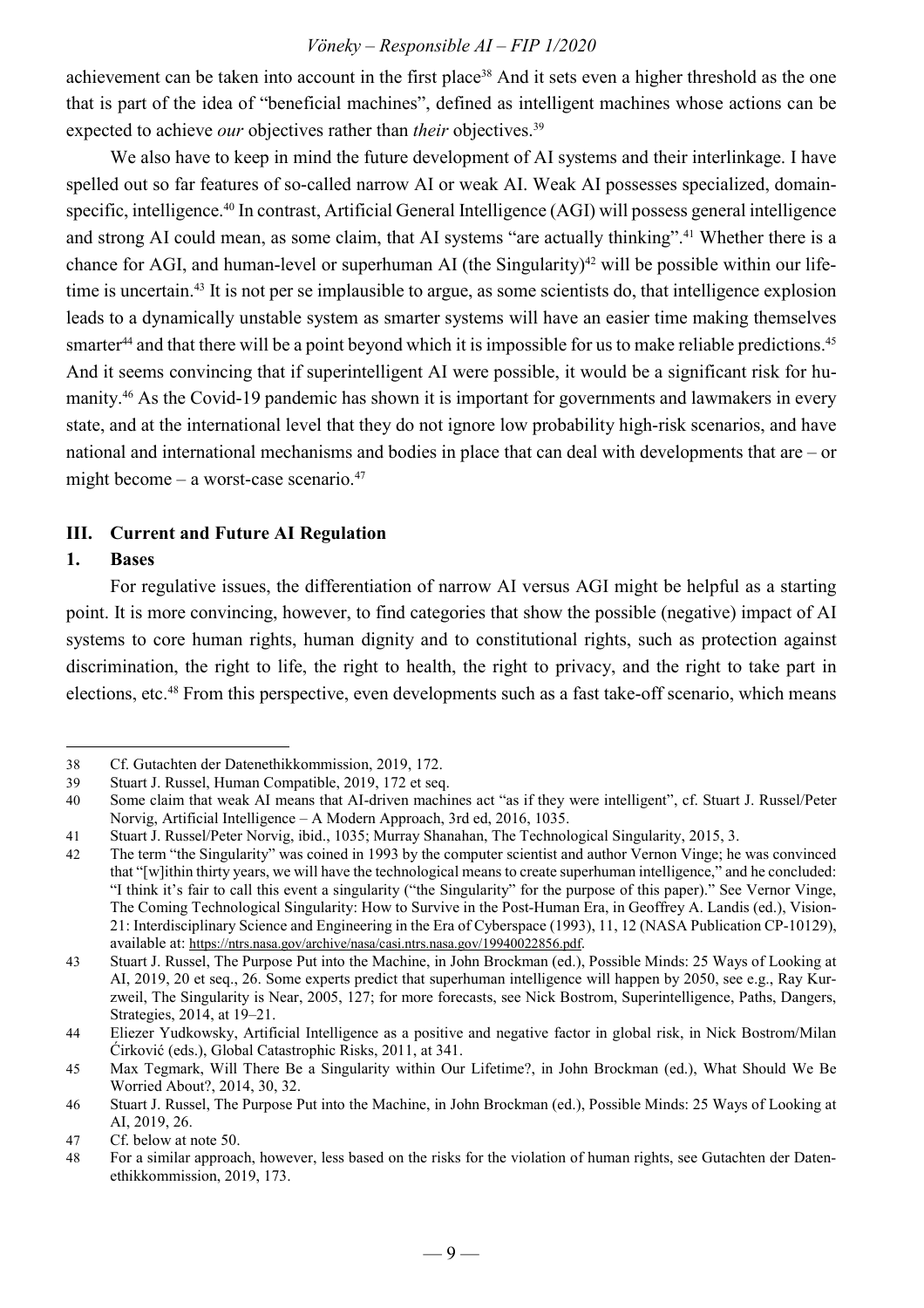achievement can be taken into account in the first place<sup>38</sup> And it sets even a higher threshold as the one that is part of the idea of "beneficial machines", defined as intelligent machines whose actions can be expected to achieve *our* objectives rather than *their* objectives.<sup>39</sup>

We also have to keep in mind the future development of AI systems and their interlinkage. I have spelled out so far features of so-called narrow AI or weak AI. Weak AI possesses specialized, domainspecific, intelligence.<sup>40</sup> In contrast, Artificial General Intelligence (AGI) will possess general intelligence and strong AI could mean, as some claim, that AI systems "are actually thinking".<sup>41</sup> Whether there is a chance for AGI, and human-level or superhuman AI (the Singularity)<sup>42</sup> will be possible within our lifetime is uncertain.<sup>43</sup> It is not per se implausible to argue, as some scientists do, that intelligence explosion leads to a dynamically unstable system as smarter systems will have an easier time making themselves smarter<sup>44</sup> and that there will be a point beyond which it is impossible for us to make reliable predictions.<sup>45</sup> And it seems convincing that if superintelligent AI were possible, it would be a significant risk for humanity.<sup>46</sup> As the Covid-19 pandemic has shown it is important for governments and lawmakers in every state, and at the international level that they do not ignore low probability high-risk scenarios, and have national and international mechanisms and bodies in place that can deal with developments that are – or might become – a worst-case scenario. $47$ 

#### **III. Current and Future AI Regulation**

#### **1. Bases**

 $\overline{a}$ 

For regulative issues, the differentiation of narrow AI versus AGI might be helpful as a starting point. It is more convincing, however, to find categories that show the possible (negative) impact of AI systems to core human rights, human dignity and to constitutional rights, such as protection against discrimination, the right to life, the right to health, the right to privacy, and the right to take part in elections, etc.<sup>48</sup> From this perspective, even developments such as a fast take-off scenario, which means

<sup>38</sup> Cf. Gutachten der Datenethikkommission, 2019, 172.

<sup>39</sup> Stuart J. Russel, Human Compatible, 2019, 172 et seq.

<sup>40</sup> Some claim that weak AI means that AI-driven machines act "as if they were intelligent", cf. Stuart J. Russel/Peter Norvig, Artificial Intelligence – A Modern Approach, 3rd ed, 2016, 1035.

<sup>41</sup> Stuart J. Russel/Peter Norvig, ibid., 1035; Murray Shanahan, The Technological Singularity, 2015, 3.

<sup>42</sup> The term "the Singularity" was coined in 1993 by the computer scientist and author Vernon Vinge; he was convinced that "[w]ithin thirty years, we will have the technological means to create superhuman intelligence," and he concluded: "I think it's fair to call this event a singularity ("the Singularity" for the purpose of this paper)." See Vernor Vinge, The Coming Technological Singularity: How to Survive in the Post-Human Era, in Geoffrey A. Landis (ed.), Vision-21: Interdisciplinary Science and Engineering in the Era of Cyberspace (1993), 11, 12 (NASA Publication CP-10129), available at: https://ntrs.nasa.gov/archive/nasa/casi.ntrs.nasa.gov/19940022856.pdf.

<sup>43</sup> Stuart J. Russel, The Purpose Put into the Machine, in John Brockman (ed.), Possible Minds: 25 Ways of Looking at AI, 2019, 20 et seq., 26. Some experts predict that superhuman intelligence will happen by 2050, see e.g., Ray Kurzweil, The Singularity is Near, 2005, 127; for more forecasts, see Nick Bostrom, Superintelligence, Paths, Dangers, Strategies, 2014, at 19–21.

<sup>44</sup> Eliezer Yudkowsky, Artificial Intelligence as a positive and negative factor in global risk, in Nick Bostrom/Milan Ćirković (eds.), Global Catastrophic Risks, 2011, at 341.

<sup>45</sup> Max Tegmark, Will There Be a Singularity within Our Lifetime?, in John Brockman (ed.), What Should We Be Worried About?, 2014, 30, 32.

<sup>46</sup> Stuart J. Russel, The Purpose Put into the Machine, in John Brockman (ed.), Possible Minds: 25 Ways of Looking at AI, 2019, 26.

<sup>47</sup> Cf. below at note 50.

<sup>48</sup> For a similar approach, however, less based on the risks for the violation of human rights, see Gutachten der Datenethikkommission, 2019, 173.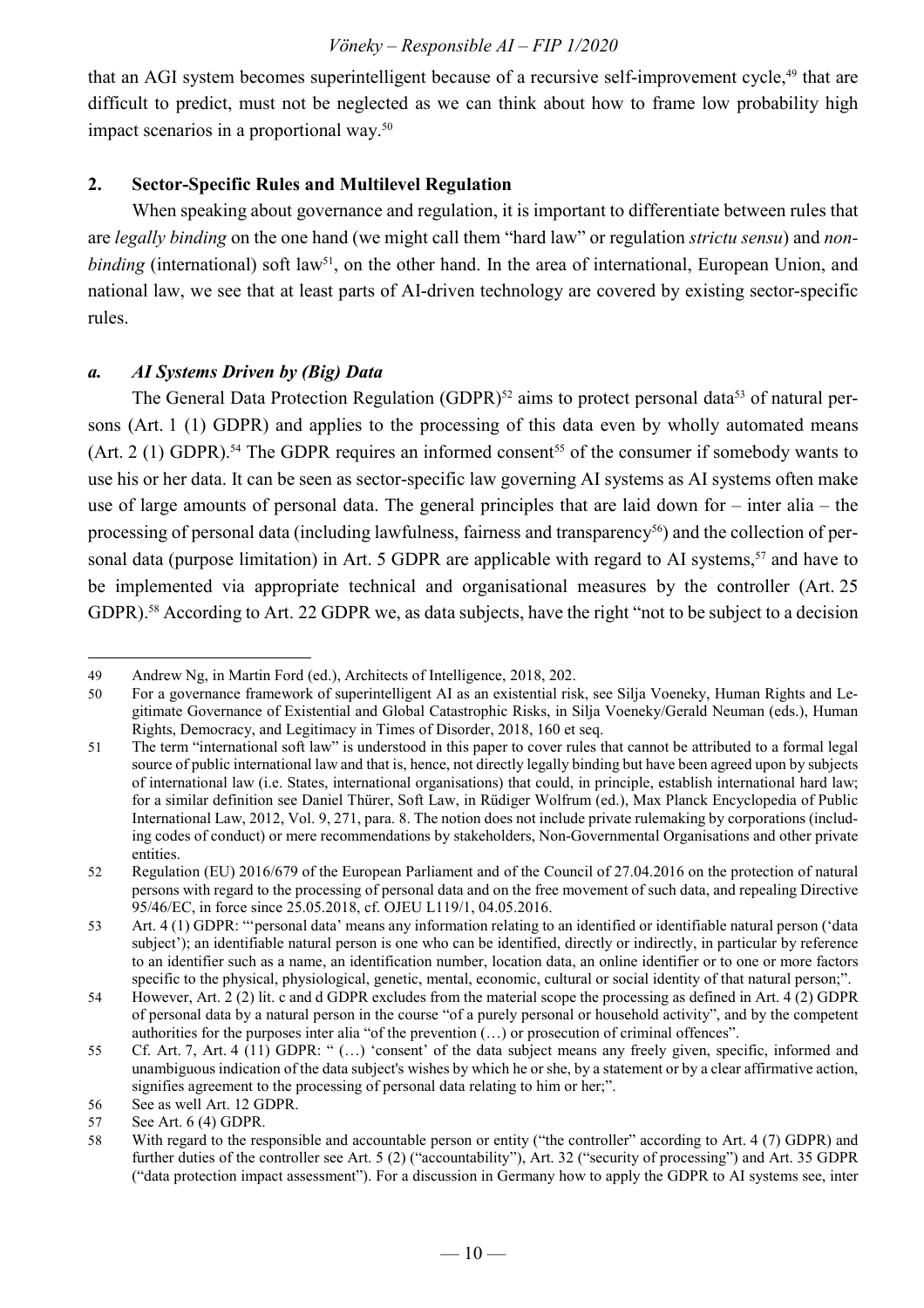that an AGI system becomes superintelligent because of a recursive self-improvement cycle,<sup>49</sup> that are difficult to predict, must not be neglected as we can think about how to frame low probability high impact scenarios in a proportional way.<sup>50</sup>

#### **2. Sector-Specific Rules and Multilevel Regulation**

When speaking about governance and regulation, it is important to differentiate between rules that are *legally binding* on the one hand (we might call them "hard law" or regulation *strictu sensu*) and *nonbinding* (international) soft law<sup>51</sup>, on the other hand. In the area of international, European Union, and national law, we see that at least parts of AI-driven technology are covered by existing sector-specific rules.

#### *a. AI Systems Driven by (Big) Data*

The General Data Protection Regulation (GDPR)<sup>52</sup> aims to protect personal data<sup>53</sup> of natural persons (Art. 1 (1) GDPR) and applies to the processing of this data even by wholly automated means (Art. 2 (1) GDPR).<sup>54</sup> The GDPR requires an informed consent<sup>55</sup> of the consumer if somebody wants to use his or her data. It can be seen as sector-specific law governing AI systems as AI systems often make use of large amounts of personal data. The general principles that are laid down for – inter alia – the processing of personal data (including lawfulness, fairness and transparency<sup>56</sup>) and the collection of personal data (purpose limitation) in Art. 5 GDPR are applicable with regard to AI systems,<sup>57</sup> and have to be implemented via appropriate technical and organisational measures by the controller (Art. 25 GDPR).<sup>58</sup> According to Art. 22 GDPR we, as data subjects, have the right "not to be subject to a decision

 $\overline{a}$ 49 Andrew Ng, in Martin Ford (ed.), Architects of Intelligence, 2018, 202.

<sup>50</sup> For a governance framework of superintelligent AI as an existential risk, see Silja Voeneky, Human Rights and Legitimate Governance of Existential and Global Catastrophic Risks, in Silja Voeneky/Gerald Neuman (eds.), Human Rights, Democracy, and Legitimacy in Times of Disorder, 2018, 160 et seq.

<sup>51</sup> The term "international soft law" is understood in this paper to cover rules that cannot be attributed to a formal legal source of public international law and that is, hence, not directly legally binding but have been agreed upon by subjects of international law (i.e. States, international organisations) that could, in principle, establish international hard law; for a similar definition see Daniel Thürer, Soft Law, in Rüdiger Wolfrum (ed.), Max Planck Encyclopedia of Public International Law, 2012, Vol. 9, 271, para. 8. The notion does not include private rulemaking by corporations (including codes of conduct) or mere recommendations by stakeholders, Non-Governmental Organisations and other private entities.

<sup>52</sup> Regulation (EU) 2016/679 of the European Parliament and of the Council of 27.04.2016 on the protection of natural persons with regard to the processing of personal data and on the free movement of such data, and repealing Directive 95/46/EC, in force since 25.05.2018, cf. OJEU L119/1, 04.05.2016.

<sup>53</sup> Art. 4 (1) GDPR: "'personal data' means any information relating to an identified or identifiable natural person ('data subject'); an identifiable natural person is one who can be identified, directly or indirectly, in particular by reference to an identifier such as a name, an identification number, location data, an online identifier or to one or more factors specific to the physical, physiological, genetic, mental, economic, cultural or social identity of that natural person;".

<sup>54</sup> However, Art. 2 (2) lit. c and d GDPR excludes from the material scope the processing as defined in Art. 4 (2) GDPR of personal data by a natural person in the course "of a purely personal or household activity", and by the competent authorities for the purposes inter alia "of the prevention (…) or prosecution of criminal offences".

<sup>55</sup> Cf. Art. 7, Art. 4 (11) GDPR: " (…) 'consent' of the data subject means any freely given, specific, informed and unambiguous indication of the data subject's wishes by which he or she, by a statement or by a clear affirmative action, signifies agreement to the processing of personal data relating to him or her;".

<sup>56</sup> See as well Art. 12 GDPR.

<sup>57</sup> See Art. 6 (4) GDPR.

<sup>58</sup> With regard to the responsible and accountable person or entity ("the controller" according to Art. 4 (7) GDPR) and further duties of the controller see Art. 5 (2) ("accountability"), Art. 32 ("security of processing") and Art. 35 GDPR ("data protection impact assessment"). For a discussion in Germany how to apply the GDPR to AI systems see, inter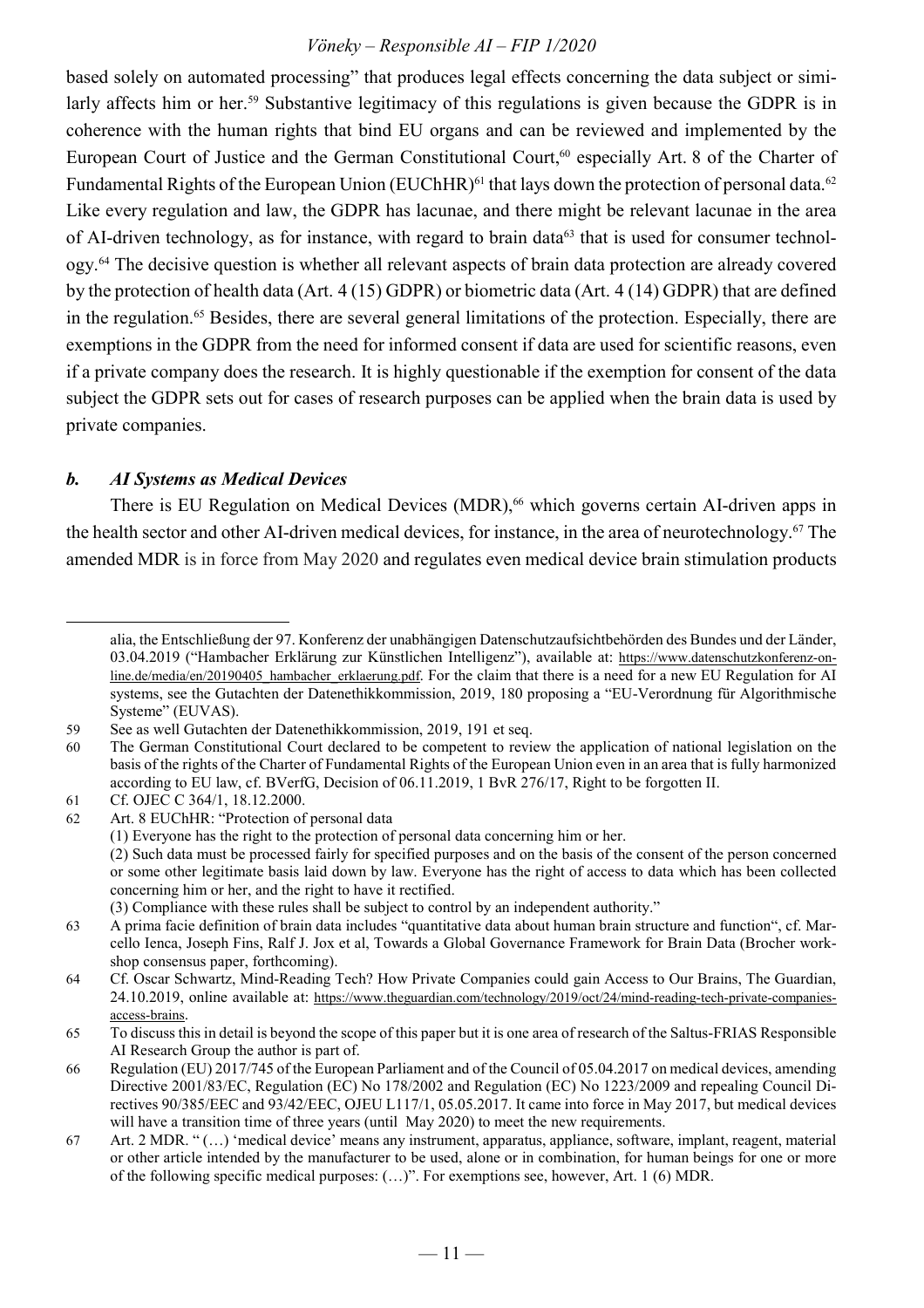based solely on automated processing" that produces legal effects concerning the data subject or similarly affects him or her.<sup>59</sup> Substantive legitimacy of this regulations is given because the GDPR is in coherence with the human rights that bind EU organs and can be reviewed and implemented by the European Court of Justice and the German Constitutional Court,<sup>60</sup> especially Art. 8 of the Charter of Fundamental Rights of the European Union (EUChHR)<sup>61</sup> that lays down the protection of personal data.<sup>62</sup> Like every regulation and law, the GDPR has lacunae, and there might be relevant lacunae in the area of AI-driven technology, as for instance, with regard to brain data<sup>63</sup> that is used for consumer technology.<sup>64</sup> The decisive question is whether all relevant aspects of brain data protection are already covered by the protection of health data (Art. 4 (15) GDPR) or biometric data (Art. 4 (14) GDPR) that are defined in the regulation.<sup>65</sup> Besides, there are several general limitations of the protection. Especially, there are exemptions in the GDPR from the need for informed consent if data are used for scientific reasons, even if a private company does the research. It is highly questionable if the exemption for consent of the data subject the GDPR sets out for cases of research purposes can be applied when the brain data is used by private companies.

#### *b. AI Systems as Medical Devices*

There is EU Regulation on Medical Devices (MDR),<sup>66</sup> which governs certain AI-driven apps in the health sector and other AI-driven medical devices, for instance, in the area of neurotechnology.<sup>67</sup> The amended MDR is in force from May 2020 and regulates even medical device brain stimulation products

alia, the Entschließung der 97. Konferenz der unabhängigen Datenschutzaufsichtbehörden des Bundes und der Länder, 03.04.2019 ("Hambacher Erklärung zur Künstlichen Intelligenz"), available at: https://www.datenschutzkonferenz-online.de/media/en/20190405 hambacher erklaerung.pdf. For the claim that there is a need for a new EU Regulation for AI systems, see the Gutachten der Datenethikkommission, 2019, 180 proposing a "EU-Verordnung für Algorithmische Systeme" (EUVAS).

<sup>59</sup> See as well Gutachten der Datenethikkommission, 2019, 191 et seq.

<sup>60</sup> The German Constitutional Court declared to be competent to review the application of national legislation on the basis of the rights of the Charter of Fundamental Rights of the European Union even in an area that is fully harmonized according to EU law, cf. BVerfG, Decision of 06.11.2019, 1 BvR 276/17, Right to be forgotten II.

<sup>61</sup> Cf. OJEC C 364/1, 18.12.2000.

<sup>62</sup> Art. 8 EUChHR: "Protection of personal data

 <sup>(1)</sup> Everyone has the right to the protection of personal data concerning him or her.

 <sup>(2)</sup> Such data must be processed fairly for specified purposes and on the basis of the consent of the person concerned or some other legitimate basis laid down by law. Everyone has the right of access to data which has been collected concerning him or her, and the right to have it rectified.

 <sup>(3)</sup> Compliance with these rules shall be subject to control by an independent authority."

<sup>63</sup> A prima facie definition of brain data includes "quantitative data about human brain structure and function", cf. Marcello Ienca, Joseph Fins, Ralf J. Jox et al, Towards a Global Governance Framework for Brain Data (Brocher workshop consensus paper, forthcoming).

<sup>64</sup> Cf. Oscar Schwartz, Mind-Reading Tech? How Private Companies could gain Access to Our Brains, The Guardian, 24.10.2019, online available at: https://www.theguardian.com/technology/2019/oct/24/mind-reading-tech-private-companiesaccess-brains.

<sup>65</sup> To discuss this in detail is beyond the scope of this paper but it is one area of research of the Saltus-FRIAS Responsible AI Research Group the author is part of.

<sup>66</sup> Regulation (EU) 2017/745 of the European Parliament and of the Council of 05.04.2017 on medical devices, amending Directive 2001/83/EC, Regulation (EC) No 178/2002 and Regulation (EC) No 1223/2009 and repealing Council Directives 90/385/EEC and 93/42/EEC, OJEU L117/1, 05.05.2017. It came into force in May 2017, but medical devices will have a transition time of three years (until May 2020) to meet the new requirements.

<sup>67</sup> Art. 2 MDR. " (…) 'medical device' means any instrument, apparatus, appliance, software, implant, reagent, material or other article intended by the manufacturer to be used, alone or in combination, for human beings for one or more of the following specific medical purposes: (…)". For exemptions see, however, Art. 1 (6) MDR.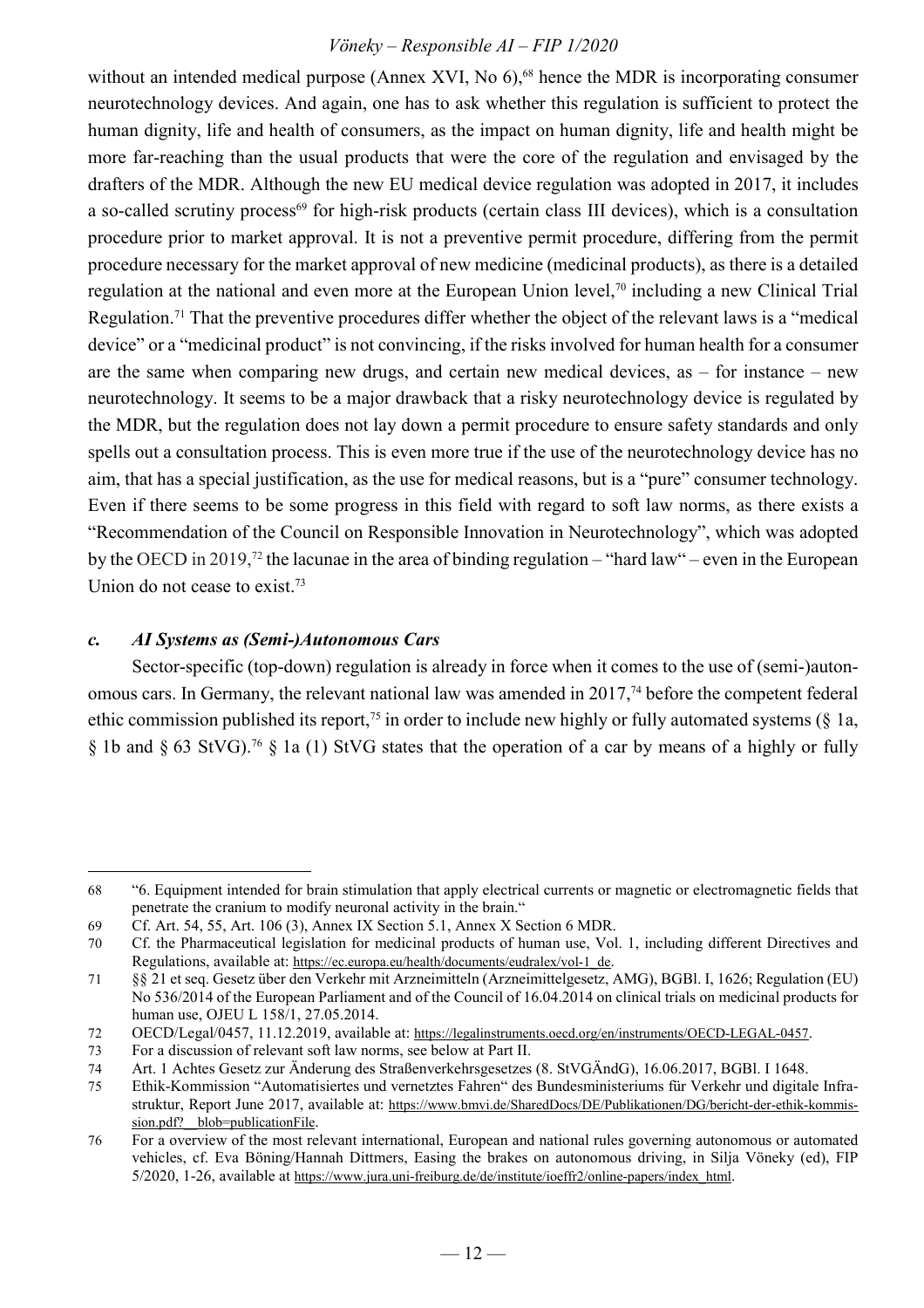without an intended medical purpose (Annex XVI, No  $6$ ),<sup>68</sup> hence the MDR is incorporating consumer neurotechnology devices. And again, one has to ask whether this regulation is sufficient to protect the human dignity, life and health of consumers, as the impact on human dignity, life and health might be more far-reaching than the usual products that were the core of the regulation and envisaged by the drafters of the MDR. Although the new EU medical device regulation was adopted in 2017, it includes a so-called scrutiny process<sup>69</sup> for high-risk products (certain class III devices), which is a consultation procedure prior to market approval. It is not a preventive permit procedure, differing from the permit procedure necessary for the market approval of new medicine (medicinal products), as there is a detailed regulation at the national and even more at the European Union level,<sup>70</sup> including a new Clinical Trial Regulation.<sup>71</sup> That the preventive procedures differ whether the object of the relevant laws is a "medical device" or a "medicinal product" is not convincing, if the risks involved for human health for a consumer are the same when comparing new drugs, and certain new medical devices, as – for instance – new neurotechnology. It seems to be a major drawback that a risky neurotechnology device is regulated by the MDR, but the regulation does not lay down a permit procedure to ensure safety standards and only spells out a consultation process. This is even more true if the use of the neurotechnology device has no aim, that has a special justification, as the use for medical reasons, but is a "pure" consumer technology. Even if there seems to be some progress in this field with regard to soft law norms, as there exists a "Recommendation of the Council on Responsible Innovation in Neurotechnology", which was adopted by the OECD in 2019,<sup>72</sup> the lacunae in the area of binding regulation – "hard law" – even in the European Union do not cease to exist.<sup>73</sup>

#### *c. AI Systems as (Semi-)Autonomous Cars*

Sector-specific (top-down) regulation is already in force when it comes to the use of (semi-)autonomous cars. In Germany, the relevant national law was amended in  $2017<sup>74</sup>$  before the competent federal ethic commission published its report,<sup>75</sup> in order to include new highly or fully automated systems ( $\S$  1a, § 1b and § 63 StVG).<sup>76</sup> § 1a (1) StVG states that the operation of a car by means of a highly or fully

 $\overline{a}$ 68 "6. Equipment intended for brain stimulation that apply electrical currents or magnetic or electromagnetic fields that penetrate the cranium to modify neuronal activity in the brain."

<sup>69</sup> Cf. Art. 54, 55, Art. 106 (3), Annex IX Section 5.1, Annex X Section 6 MDR.

<sup>70</sup> Cf. the Pharmaceutical legislation for medicinal products of human use, Vol. 1, including different Directives and Regulations, available at: https://ec.europa.eu/health/documents/eudralex/vol-1\_de.

<sup>71</sup> §§ 21 et seq. Gesetz über den Verkehr mit Arzneimitteln (Arzneimittelgesetz, AMG), BGBl. I, 1626; Regulation (EU) No 536/2014 of the European Parliament and of the Council of 16.04.2014 on clinical trials on medicinal products for human use, OJEU L 158/1, 27.05.2014.

<sup>72</sup> OECD/Legal/0457, 11.12.2019, available at: https://legalinstruments.oecd.org/en/instruments/OECD-LEGAL-0457.

<sup>73</sup> For a discussion of relevant soft law norms, see below at Part II.

<sup>74</sup> Art. 1 Achtes Gesetz zur Änderung des Straßenverkehrsgesetzes (8. StVGÄndG), 16.06.2017, BGBl. I 1648.

<sup>75</sup> Ethik-Kommission "Automatisiertes und vernetztes Fahren" des Bundesministeriums für Verkehr und digitale Infrastruktur, Report June 2017, available at: https://www.bmvi.de/SharedDocs/DE/Publikationen/DG/bericht-der-ethik-kommission.pdf? blob=publicationFile.

<sup>76</sup> For a overview of the most relevant international, European and national rules governing autonomous or automated vehicles, cf. Eva Böning/Hannah Dittmers, Easing the brakes on autonomous driving, in Silja Vöneky (ed), FIP 5/2020, 1-26, available at https://www.jura.uni-freiburg.de/de/institute/ioeffr2/online-papers/index\_html.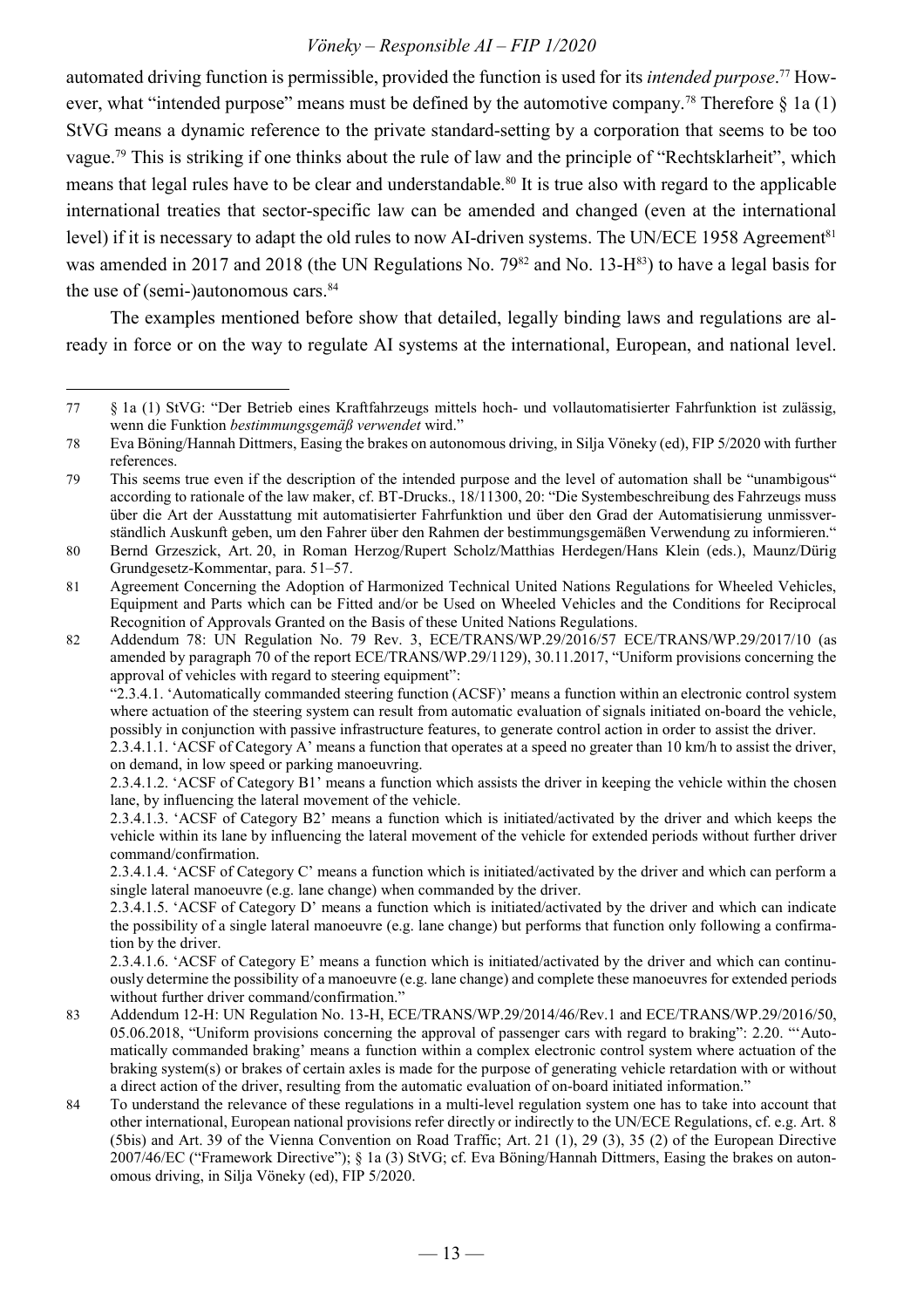automated driving function is permissible, provided the function is used for its *intended purpose*. 77 However, what "intended purpose" means must be defined by the automotive company.<sup>78</sup> Therefore  $\S$  1a (1) StVG means a dynamic reference to the private standard-setting by a corporation that seems to be too vague.<sup>79</sup> This is striking if one thinks about the rule of law and the principle of "Rechtsklarheit", which means that legal rules have to be clear and understandable.<sup>80</sup> It is true also with regard to the applicable international treaties that sector-specific law can be amended and changed (even at the international level) if it is necessary to adapt the old rules to now AI-driven systems. The UN/ECE 1958 Agreement<sup>81</sup> was amended in 2017 and 2018 (the UN Regulations No. 79<sup>82</sup> and No. 13-H<sup>83</sup>) to have a legal basis for the use of (semi-)autonomous cars.<sup>84</sup>

The examples mentioned before show that detailed, legally binding laws and regulations are already in force or on the way to regulate AI systems at the international, European, and national level.

 $\overline{a}$ 

 "2.3.4.1. 'Automatically commanded steering function (ACSF)' means a function within an electronic control system where actuation of the steering system can result from automatic evaluation of signals initiated on-board the vehicle, possibly in conjunction with passive infrastructure features, to generate control action in order to assist the driver.

 2.3.4.1.1. 'ACSF of Category A' means a function that operates at a speed no greater than 10 km/h to assist the driver, on demand, in low speed or parking manoeuvring.

 2.3.4.1.5. 'ACSF of Category D' means a function which is initiated/activated by the driver and which can indicate the possibility of a single lateral manoeuvre (e.g. lane change) but performs that function only following a confirmation by the driver.

 2.3.4.1.6. 'ACSF of Category E' means a function which is initiated/activated by the driver and which can continuously determine the possibility of a manoeuvre (e.g. lane change) and complete these manoeuvres for extended periods without further driver command/confirmation."

- 83 Addendum 12-H: UN Regulation No. 13-H, ECE/TRANS/WP.29/2014/46/Rev.1 and ECE/TRANS/WP.29/2016/50, 05.06.2018, "Uniform provisions concerning the approval of passenger cars with regard to braking": 2.20. "'Automatically commanded braking' means a function within a complex electronic control system where actuation of the braking system(s) or brakes of certain axles is made for the purpose of generating vehicle retardation with or without a direct action of the driver, resulting from the automatic evaluation of on-board initiated information."
- 84 To understand the relevance of these regulations in a multi-level regulation system one has to take into account that other international, European national provisions refer directly or indirectly to the UN/ECE Regulations, cf. e.g. Art. 8 (5bis) and Art. 39 of the Vienna Convention on Road Traffic; Art. 21 (1), 29 (3), 35 (2) of the European Directive 2007/46/EC ("Framework Directive"); § 1a (3) StVG; cf. Eva Böning/Hannah Dittmers, Easing the brakes on autonomous driving, in Silja Vöneky (ed), FIP 5/2020.

<sup>77</sup> § 1a (1) StVG: "Der Betrieb eines Kraftfahrzeugs mittels hoch- und vollautomatisierter Fahrfunktion ist zulässig, wenn die Funktion *bestimmungsgemäß verwendet* wird."

<sup>78</sup> Eva Böning/Hannah Dittmers, Easing the brakes on autonomous driving, in Silja Vöneky (ed), FIP 5/2020 with further references.

<sup>79</sup> This seems true even if the description of the intended purpose and the level of automation shall be "unambigous" according to rationale of the law maker, cf. BT-Drucks., 18/11300, 20: "Die Systembeschreibung des Fahrzeugs muss über die Art der Ausstattung mit automatisierter Fahrfunktion und über den Grad der Automatisierung unmissverständlich Auskunft geben, um den Fahrer über den Rahmen der bestimmungsgemäßen Verwendung zu informieren."

<sup>80</sup> Bernd Grzeszick, Art. 20, in Roman Herzog/Rupert Scholz/Matthias Herdegen/Hans Klein (eds.), Maunz/Dürig Grundgesetz-Kommentar, para. 51–57.

<sup>81</sup> Agreement Concerning the Adoption of Harmonized Technical United Nations Regulations for Wheeled Vehicles, Equipment and Parts which can be Fitted and/or be Used on Wheeled Vehicles and the Conditions for Reciprocal Recognition of Approvals Granted on the Basis of these United Nations Regulations.

<sup>82</sup> Addendum 78: UN Regulation No. 79 Rev. 3, ECE/TRANS/WP.29/2016/57 ECE/TRANS/WP.29/2017/10 (as amended by paragraph 70 of the report ECE/TRANS/WP.29/1129), 30.11.2017, "Uniform provisions concerning the approval of vehicles with regard to steering equipment":

 <sup>2.3.4.1.2. &#</sup>x27;ACSF of Category B1' means a function which assists the driver in keeping the vehicle within the chosen lane, by influencing the lateral movement of the vehicle.

 <sup>2.3.4.1.3. &#</sup>x27;ACSF of Category B2' means a function which is initiated/activated by the driver and which keeps the vehicle within its lane by influencing the lateral movement of the vehicle for extended periods without further driver command/confirmation.

 <sup>2.3.4.1.4. &#</sup>x27;ACSF of Category C' means a function which is initiated/activated by the driver and which can perform a single lateral manoeuvre (e.g. lane change) when commanded by the driver.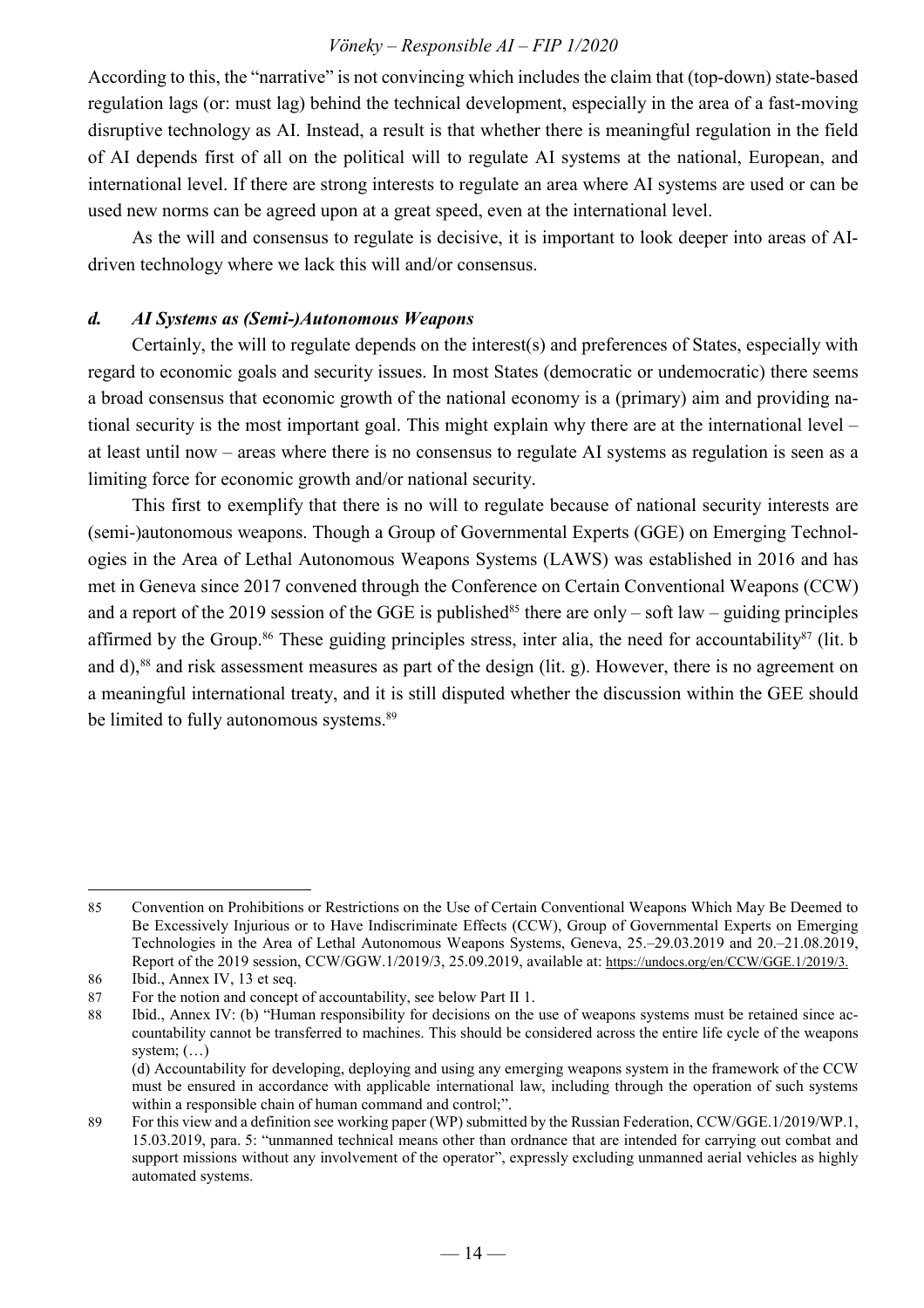According to this, the "narrative" is not convincing which includes the claim that (top-down) state-based regulation lags (or: must lag) behind the technical development, especially in the area of a fast-moving disruptive technology as AI. Instead, a result is that whether there is meaningful regulation in the field of AI depends first of all on the political will to regulate AI systems at the national, European, and international level. If there are strong interests to regulate an area where AI systems are used or can be used new norms can be agreed upon at a great speed, even at the international level.

As the will and consensus to regulate is decisive, it is important to look deeper into areas of AIdriven technology where we lack this will and/or consensus.

#### *d. AI Systems as (Semi-)Autonomous Weapons*

Certainly, the will to regulate depends on the interest(s) and preferences of States, especially with regard to economic goals and security issues. In most States (democratic or undemocratic) there seems a broad consensus that economic growth of the national economy is a (primary) aim and providing national security is the most important goal. This might explain why there are at the international level – at least until now – areas where there is no consensus to regulate AI systems as regulation is seen as a limiting force for economic growth and/or national security.

This first to exemplify that there is no will to regulate because of national security interests are (semi-)autonomous weapons. Though a Group of Governmental Experts (GGE) on Emerging Technologies in the Area of Lethal Autonomous Weapons Systems (LAWS) was established in 2016 and has met in Geneva since 2017 convened through the Conference on Certain Conventional Weapons (CCW) and a report of the 2019 session of the GGE is published<sup>85</sup> there are only – soft law – guiding principles affirmed by the Group.<sup>86</sup> These guiding principles stress, inter alia, the need for accountability<sup>87</sup> (lit. b and d),<sup>88</sup> and risk assessment measures as part of the design (lit. g). However, there is no agreement on a meaningful international treaty, and it is still disputed whether the discussion within the GEE should be limited to fully autonomous systems.<sup>89</sup>

<sup>85</sup> Convention on Prohibitions or Restrictions on the Use of Certain Conventional Weapons Which May Be Deemed to Be Excessively Injurious or to Have Indiscriminate Effects (CCW), Group of Governmental Experts on Emerging Technologies in the Area of Lethal Autonomous Weapons Systems, Geneva, 25.–29.03.2019 and 20.–21.08.2019, Report of the 2019 session, CCW/GGW.1/2019/3, 25.09.2019, available at: https://undocs.org/en/CCW/GGE.1/2019/3. 86 Ibid., Annex IV, 13 et seq.

<sup>87</sup> For the notion and concept of accountability, see below Part II 1.

<sup>88</sup> Ibid., Annex IV: (b) "Human responsibility for decisions on the use of weapons systems must be retained since accountability cannot be transferred to machines. This should be considered across the entire life cycle of the weapons system;  $(...)$ 

 <sup>(</sup>d) Accountability for developing, deploying and using any emerging weapons system in the framework of the CCW must be ensured in accordance with applicable international law, including through the operation of such systems within a responsible chain of human command and control;".

<sup>89</sup> For this view and a definition see working paper (WP) submitted by the Russian Federation, CCW/GGE.1/2019/WP.1, 15.03.2019, para. 5: "unmanned technical means other than ordnance that are intended for carrying out combat and support missions without any involvement of the operator", expressly excluding unmanned aerial vehicles as highly automated systems.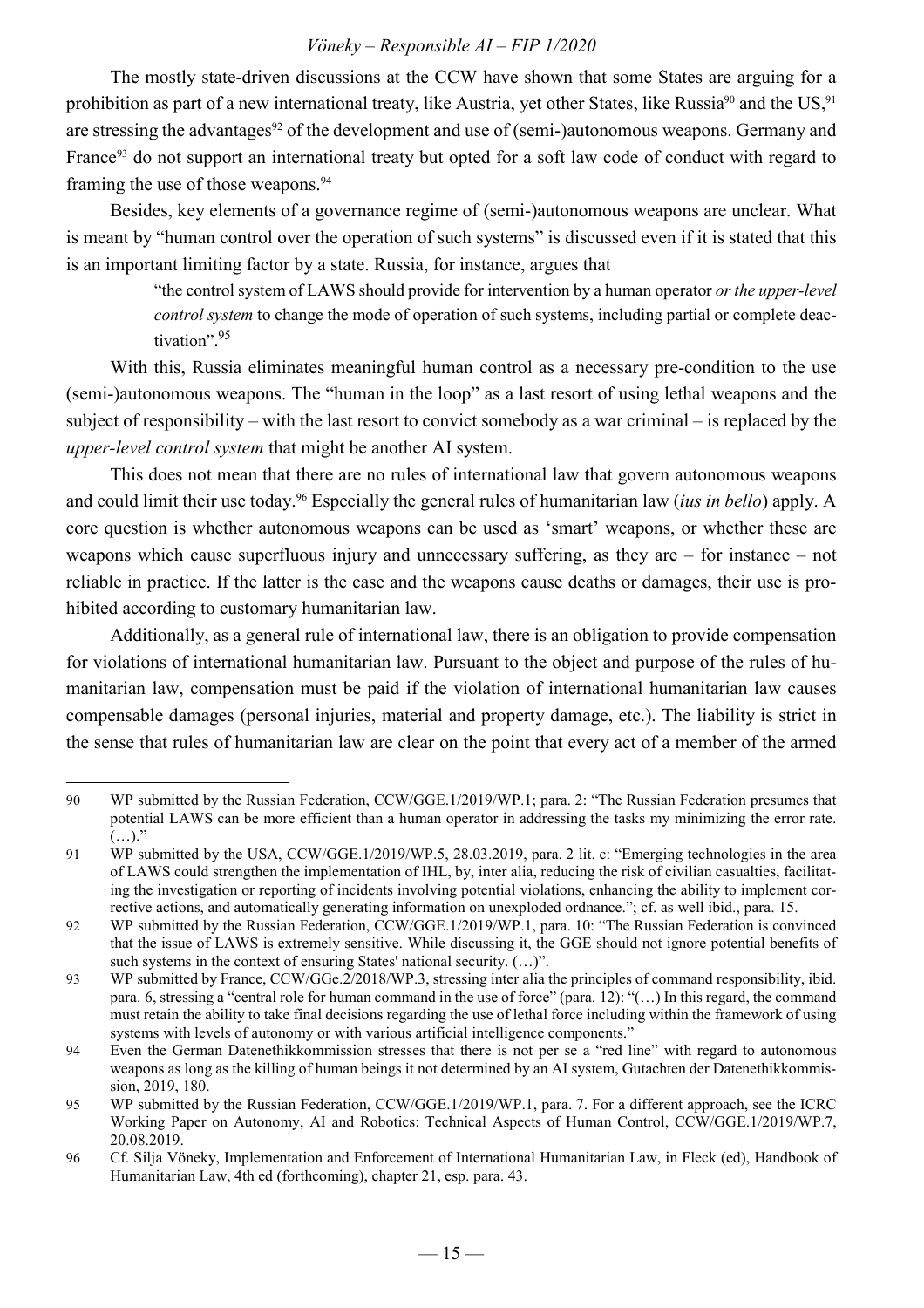The mostly state-driven discussions at the CCW have shown that some States are arguing for a prohibition as part of a new international treaty, like Austria, yet other States, like Russia<sup>90</sup> and the US,<sup>91</sup> are stressing the advantages<sup>92</sup> of the development and use of (semi-)autonomous weapons. Germany and France<sup>93</sup> do not support an international treaty but opted for a soft law code of conduct with regard to framing the use of those weapons.<sup>94</sup>

Besides, key elements of a governance regime of (semi-)autonomous weapons are unclear. What is meant by "human control over the operation of such systems" is discussed even if it is stated that this is an important limiting factor by a state. Russia, for instance, argues that

> "the control system of LAWS should provide for intervention by a human operator *or the upper-level control system* to change the mode of operation of such systems, including partial or complete deactivation".<sup>95</sup>

With this, Russia eliminates meaningful human control as a necessary pre-condition to the use (semi-)autonomous weapons. The "human in the loop" as a last resort of using lethal weapons and the subject of responsibility – with the last resort to convict somebody as a war criminal – is replaced by the *upper-level control system* that might be another AI system.

This does not mean that there are no rules of international law that govern autonomous weapons and could limit their use today.<sup>96</sup> Especially the general rules of humanitarian law (*ius in bello*) apply. A core question is whether autonomous weapons can be used as 'smart' weapons, or whether these are weapons which cause superfluous injury and unnecessary suffering, as they are – for instance – not reliable in practice. If the latter is the case and the weapons cause deaths or damages, their use is prohibited according to customary humanitarian law.

Additionally, as a general rule of international law, there is an obligation to provide compensation for violations of international humanitarian law. Pursuant to the object and purpose of the rules of humanitarian law, compensation must be paid if the violation of international humanitarian law causes compensable damages (personal injuries, material and property damage, etc.). The liability is strict in the sense that rules of humanitarian law are clear on the point that every act of a member of the armed

 $\overline{a}$ 90 WP submitted by the Russian Federation, CCW/GGE.1/2019/WP.1; para. 2: "The Russian Federation presumes that potential LAWS can be more efficient than a human operator in addressing the tasks my minimizing the error rate.  $(\ldots)$ ."

<sup>91</sup> WP submitted by the USA, CCW/GGE.1/2019/WP.5, 28.03.2019, para. 2 lit. c: "Emerging technologies in the area of LAWS could strengthen the implementation of IHL, by, inter alia, reducing the risk of civilian casualties, facilitating the investigation or reporting of incidents involving potential violations, enhancing the ability to implement corrective actions, and automatically generating information on unexploded ordnance."; cf. as well ibid., para. 15.

<sup>92</sup> WP submitted by the Russian Federation, CCW/GGE.1/2019/WP.1, para. 10: "The Russian Federation is convinced that the issue of LAWS is extremely sensitive. While discussing it, the GGE should not ignore potential benefits of such systems in the context of ensuring States' national security. (…)".

<sup>93</sup> WP submitted by France, CCW/GGe.2/2018/WP.3, stressing inter alia the principles of command responsibility, ibid. para. 6, stressing a "central role for human command in the use of force" (para. 12): "(…) In this regard, the command must retain the ability to take final decisions regarding the use of lethal force including within the framework of using systems with levels of autonomy or with various artificial intelligence components."

<sup>94</sup> Even the German Datenethikkommission stresses that there is not per se a "red line" with regard to autonomous weapons as long as the killing of human beings it not determined by an AI system, Gutachten der Datenethikkommission, 2019, 180.

<sup>95</sup> WP submitted by the Russian Federation, CCW/GGE.1/2019/WP.1, para. 7. For a different approach, see the ICRC Working Paper on Autonomy, AI and Robotics: Technical Aspects of Human Control, CCW/GGE.1/2019/WP.7, 20.08.2019.

<sup>96</sup> Cf. Silja Vöneky, Implementation and Enforcement of International Humanitarian Law, in Fleck (ed), Handbook of Humanitarian Law, 4th ed (forthcoming), chapter 21, esp. para. 43.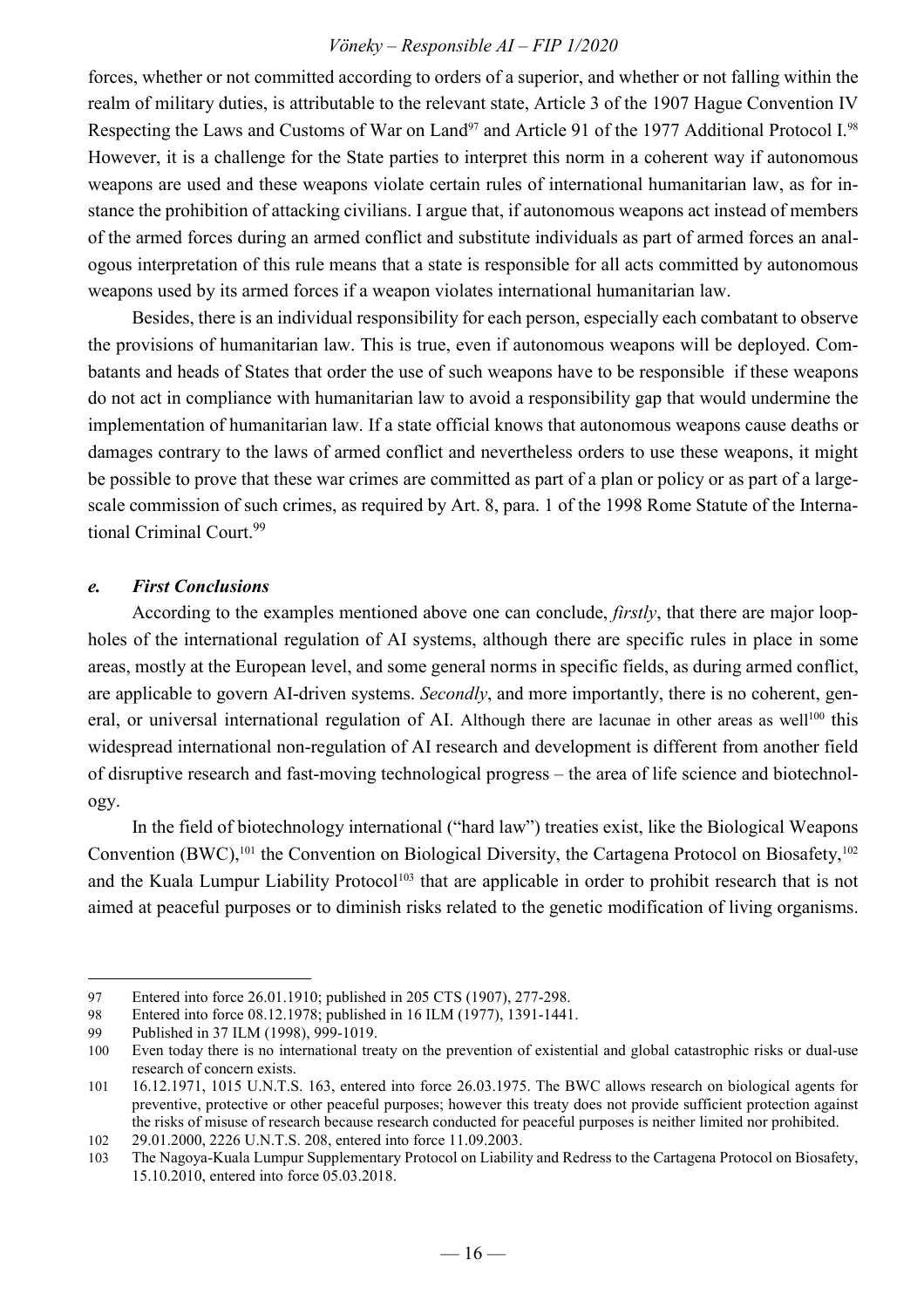forces, whether or not committed according to orders of a superior, and whether or not falling within the realm of military duties, is attributable to the relevant state, Article 3 of the 1907 Hague Convention IV Respecting the Laws and Customs of War on Land<sup>97</sup> and Article 91 of the 1977 Additional Protocol I.<sup>98</sup> However, it is a challenge for the State parties to interpret this norm in a coherent way if autonomous weapons are used and these weapons violate certain rules of international humanitarian law, as for instance the prohibition of attacking civilians. I argue that, if autonomous weapons act instead of members of the armed forces during an armed conflict and substitute individuals as part of armed forces an analogous interpretation of this rule means that a state is responsible for all acts committed by autonomous weapons used by its armed forces if a weapon violates international humanitarian law.

Besides, there is an individual responsibility for each person, especially each combatant to observe the provisions of humanitarian law. This is true, even if autonomous weapons will be deployed. Combatants and heads of States that order the use of such weapons have to be responsible if these weapons do not act in compliance with humanitarian law to avoid a responsibility gap that would undermine the implementation of humanitarian law. If a state official knows that autonomous weapons cause deaths or damages contrary to the laws of armed conflict and nevertheless orders to use these weapons, it might be possible to prove that these war crimes are committed as part of a plan or policy or as part of a largescale commission of such crimes, as required by Art. 8, para. 1 of the 1998 Rome Statute of the International Criminal Court.<sup>99</sup>

#### *e. First Conclusions*

According to the examples mentioned above one can conclude, *firstly*, that there are major loopholes of the international regulation of AI systems, although there are specific rules in place in some areas, mostly at the European level, and some general norms in specific fields, as during armed conflict, are applicable to govern AI-driven systems. *Secondly*, and more importantly, there is no coherent, general, or universal international regulation of AI. Although there are lacunae in other areas as well<sup>100</sup> this widespread international non-regulation of AI research and development is different from another field of disruptive research and fast-moving technological progress – the area of life science and biotechnology.

In the field of biotechnology international ("hard law") treaties exist, like the Biological Weapons Convention  $(BWC)$ ,<sup>101</sup>, the Convention on Biological Diversity, the Cartagena Protocol on Biosafety,<sup>102</sup> and the Kuala Lumpur Liability Protocol<sup>103</sup> that are applicable in order to prohibit research that is not aimed at peaceful purposes or to diminish risks related to the genetic modification of living organisms.

<sup>97</sup> Entered into force 26.01.1910; published in 205 CTS (1907), 277-298.

<sup>98</sup> Entered into force 08.12.1978; published in 16 ILM (1977), 1391-1441.

<sup>99</sup> Published in 37 ILM (1998), 999-1019.

<sup>100</sup> Even today there is no international treaty on the prevention of existential and global catastrophic risks or dual-use research of concern exists.

<sup>101</sup> 16.12.1971, 1015 U.N.T.S. 163, entered into force 26.03.1975. The BWC allows research on biological agents for preventive, protective or other peaceful purposes; however this treaty does not provide sufficient protection against the risks of misuse of research because research conducted for peaceful purposes is neither limited nor prohibited.

<sup>102</sup> 29.01.2000, 2226 U.N.T.S. 208, entered into force 11.09.2003.

<sup>103</sup> The Nagoya-Kuala Lumpur Supplementary Protocol on Liability and Redress to the Cartagena Protocol on Biosafety, 15.10.2010, entered into force 05.03.2018.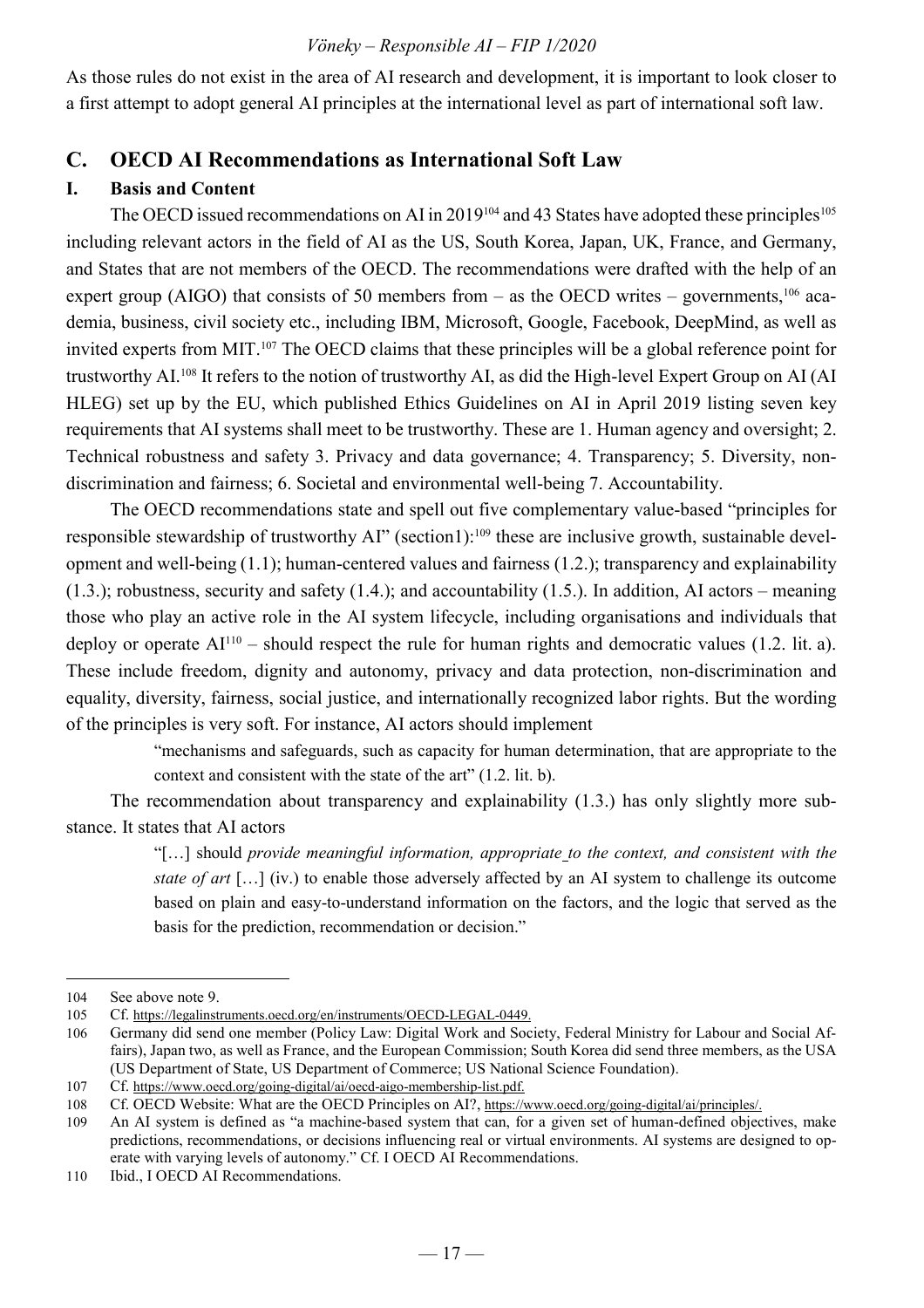As those rules do not exist in the area of AI research and development, it is important to look closer to a first attempt to adopt general AI principles at the international level as part of international soft law.

#### **C. OECD AI Recommendations as International Soft Law**

#### **I. Basis and Content**

The OECD issued recommendations on AI in 2019<sup>104</sup> and 43 States have adopted these principles<sup>105</sup> including relevant actors in the field of AI as the US, South Korea, Japan, UK, France, and Germany, and States that are not members of the OECD. The recommendations were drafted with the help of an expert group (AIGO) that consists of 50 members from – as the OECD writes – governments,<sup>106</sup> academia, business, civil society etc., including IBM, Microsoft, Google, Facebook, DeepMind, as well as invited experts from MIT.<sup>107</sup> The OECD claims that these principles will be a global reference point for trustworthy AI.<sup>108</sup> It refers to the notion of trustworthy AI, as did the High-level Expert Group on AI (AI HLEG) set up by the EU, which published Ethics Guidelines on AI in April 2019 listing seven key requirements that AI systems shall meet to be trustworthy. These are 1. Human agency and oversight; 2. Technical robustness and safety 3. Privacy and data governance; 4. Transparency; 5. Diversity, nondiscrimination and fairness; 6. Societal and environmental well-being 7. Accountability.

The OECD recommendations state and spell out five complementary value-based "principles for responsible stewardship of trustworthy AI" (section1):<sup>109</sup> these are inclusive growth, sustainable development and well-being (1.1); human-centered values and fairness (1.2.); transparency and explainability  $(1.3.)$ ; robustness, security and safety  $(1.4.)$ ; and accountability  $(1.5.)$ . In addition, AI actors – meaning those who play an active role in the AI system lifecycle, including organisations and individuals that deploy or operate  $AI<sup>110</sup>$  – should respect the rule for human rights and democratic values (1.2. lit. a). These include freedom, dignity and autonomy, privacy and data protection, non-discrimination and equality, diversity, fairness, social justice, and internationally recognized labor rights. But the wording of the principles is very soft. For instance, AI actors should implement

> "mechanisms and safeguards, such as capacity for human determination, that are appropriate to the context and consistent with the state of the art" (1.2. lit. b).

The recommendation about transparency and explainability (1.3.) has only slightly more substance. It states that AI actors

> "[…] should *provide meaningful information, appropriate to the context, and consistent with the state of art* […] (iv.) to enable those adversely affected by an AI system to challenge its outcome based on plain and easy-to-understand information on the factors, and the logic that served as the basis for the prediction, recommendation or decision."

<sup>104</sup> See above note 9.

<sup>105</sup> Cf. https://legalinstruments.oecd.org/en/instruments/OECD-LEGAL-0449.

<sup>106</sup> Germany did send one member (Policy Law: Digital Work and Society, Federal Ministry for Labour and Social Affairs), Japan two, as well as France, and the European Commission; South Korea did send three members, as the USA (US Department of State, US Department of Commerce; US National Science Foundation).

<sup>107</sup> Cf. https://www.oecd.org/going-digital/ai/oecd-aigo-membership-list.pdf.

<sup>108</sup> Cf. OECD Website: What are the OECD Principles on AI?, https://www.oecd.org/going-digital/ai/principles/.

<sup>109</sup> An AI system is defined as "a machine-based system that can, for a given set of human-defined objectives, make predictions, recommendations, or decisions influencing real or virtual environments. AI systems are designed to operate with varying levels of autonomy." Cf. I OECD AI Recommendations.

<sup>110</sup> Ibid., I OECD AI Recommendations.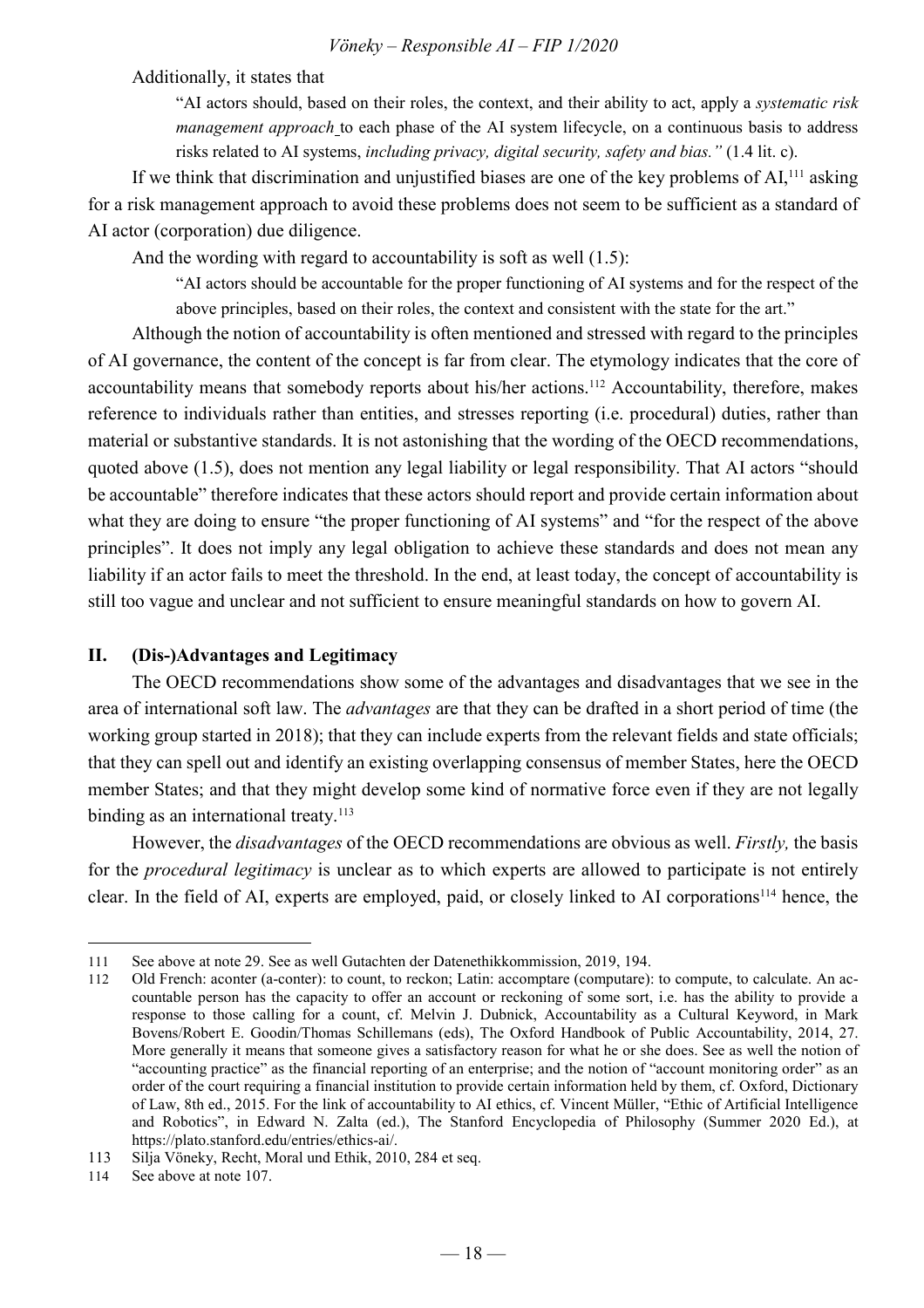Additionally, it states that

"AI actors should, based on their roles, the context, and their ability to act, apply a *systematic risk management approach* to each phase of the AI system lifecycle, on a continuous basis to address risks related to AI systems, *including privacy, digital security, safety and bias."* (1.4 lit. c).

If we think that discrimination and unjustified biases are one of the key problems of AI,<sup>111</sup> asking for a risk management approach to avoid these problems does not seem to be sufficient as a standard of AI actor (corporation) due diligence.

And the wording with regard to accountability is soft as well (1.5):

"AI actors should be accountable for the proper functioning of AI systems and for the respect of the above principles, based on their roles, the context and consistent with the state for the art."

Although the notion of accountability is often mentioned and stressed with regard to the principles of AI governance, the content of the concept is far from clear. The etymology indicates that the core of accountability means that somebody reports about his/her actions.<sup>112</sup> Accountability, therefore, makes reference to individuals rather than entities, and stresses reporting (i.e. procedural) duties, rather than material or substantive standards. It is not astonishing that the wording of the OECD recommendations, quoted above (1.5), does not mention any legal liability or legal responsibility. That AI actors "should be accountable" therefore indicates that these actors should report and provide certain information about what they are doing to ensure "the proper functioning of AI systems" and "for the respect of the above principles". It does not imply any legal obligation to achieve these standards and does not mean any liability if an actor fails to meet the threshold. In the end, at least today, the concept of accountability is still too vague and unclear and not sufficient to ensure meaningful standards on how to govern AI.

#### **II. (Dis-)Advantages and Legitimacy**

The OECD recommendations show some of the advantages and disadvantages that we see in the area of international soft law. The *advantages* are that they can be drafted in a short period of time (the working group started in 2018); that they can include experts from the relevant fields and state officials; that they can spell out and identify an existing overlapping consensus of member States, here the OECD member States; and that they might develop some kind of normative force even if they are not legally binding as an international treaty.<sup>113</sup>

However, the *disadvantages* of the OECD recommendations are obvious as well. *Firstly,* the basis for the *procedural legitimacy* is unclear as to which experts are allowed to participate is not entirely clear. In the field of AI, experts are employed, paid, or closely linked to AI corporations<sup>114</sup> hence, the

<sup>111</sup> See above at note 29. See as well Gutachten der Datenethikkommission, 2019, 194.

<sup>112</sup> Old French: aconter (a-conter): to count, to reckon; Latin: accomptare (computare): to compute, to calculate. An accountable person has the capacity to offer an account or reckoning of some sort, i.e. has the ability to provide a response to those calling for a count, cf. Melvin J. Dubnick, Accountability as a Cultural Keyword, in Mark Bovens/Robert E. Goodin/Thomas Schillemans (eds), The Oxford Handbook of Public Accountability, 2014, 27. More generally it means that someone gives a satisfactory reason for what he or she does. See as well the notion of "accounting practice" as the financial reporting of an enterprise; and the notion of "account monitoring order" as an order of the court requiring a financial institution to provide certain information held by them, cf. Oxford, Dictionary of Law, 8th ed., 2015. For the link of accountability to AI ethics, cf. Vincent Müller, "Ethic of Artificial Intelligence and Robotics", in Edward N. Zalta (ed.), The Stanford Encyclopedia of Philosophy (Summer 2020 Ed.), at https://plato.stanford.edu/entries/ethics-ai/.

<sup>113</sup> Silja Vöneky, Recht, Moral und Ethik, 2010, 284 et seq.

<sup>114</sup> See above at note 107.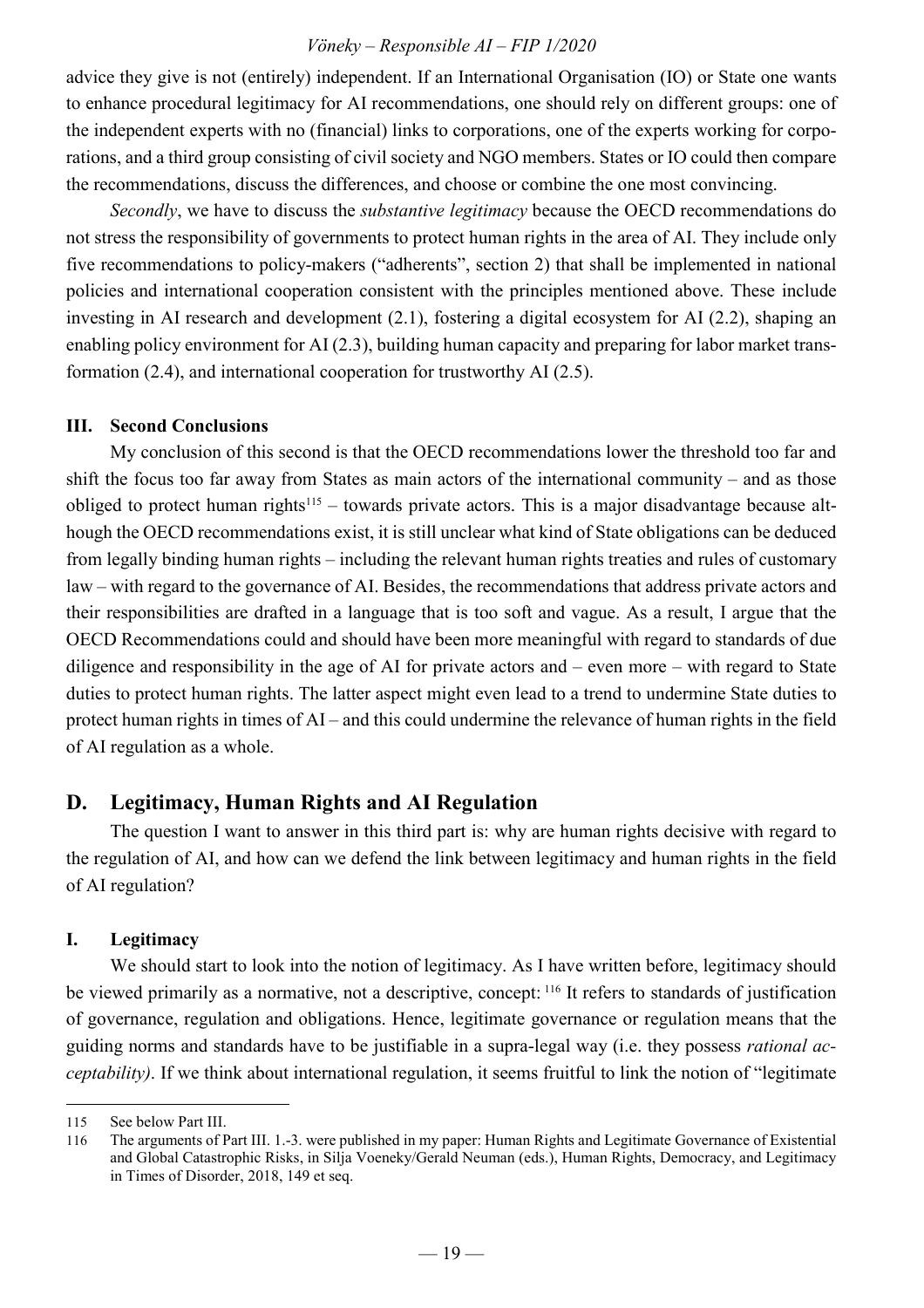advice they give is not (entirely) independent. If an International Organisation (IO) or State one wants to enhance procedural legitimacy for AI recommendations, one should rely on different groups: one of the independent experts with no (financial) links to corporations, one of the experts working for corporations, and a third group consisting of civil society and NGO members. States or IO could then compare the recommendations, discuss the differences, and choose or combine the one most convincing.

*Secondly*, we have to discuss the *substantive legitimacy* because the OECD recommendations do not stress the responsibility of governments to protect human rights in the area of AI. They include only five recommendations to policy-makers ("adherents", section 2) that shall be implemented in national policies and international cooperation consistent with the principles mentioned above. These include investing in AI research and development (2.1), fostering a digital ecosystem for AI (2.2), shaping an enabling policy environment for AI (2.3), building human capacity and preparing for labor market transformation (2.4), and international cooperation for trustworthy AI (2.5).

#### **III. Second Conclusions**

My conclusion of this second is that the OECD recommendations lower the threshold too far and shift the focus too far away from States as main actors of the international community – and as those obliged to protect human rights<sup>115</sup> – towards private actors. This is a major disadvantage because although the OECD recommendations exist, it is still unclear what kind of State obligations can be deduced from legally binding human rights – including the relevant human rights treaties and rules of customary law – with regard to the governance of AI. Besides, the recommendations that address private actors and their responsibilities are drafted in a language that is too soft and vague. As a result, I argue that the OECD Recommendations could and should have been more meaningful with regard to standards of due diligence and responsibility in the age of AI for private actors and – even more – with regard to State duties to protect human rights. The latter aspect might even lead to a trend to undermine State duties to protect human rights in times of AI – and this could undermine the relevance of human rights in the field of AI regulation as a whole.

#### **D. Legitimacy, Human Rights and AI Regulation**

The question I want to answer in this third part is: why are human rights decisive with regard to the regulation of AI, and how can we defend the link between legitimacy and human rights in the field of AI regulation?

#### **I. Legitimacy**

We should start to look into the notion of legitimacy. As I have written before, legitimacy should be viewed primarily as a normative, not a descriptive, concept: <sup>116</sup> It refers to standards of justification of governance, regulation and obligations. Hence, legitimate governance or regulation means that the guiding norms and standards have to be justifiable in a supra-legal way (i.e. they possess *rational acceptability)*. If we think about international regulation, it seems fruitful to link the notion of "legitimate

<sup>115</sup> See below Part III.

<sup>116</sup> The arguments of Part III. 1.-3. were published in my paper: Human Rights and Legitimate Governance of Existential and Global Catastrophic Risks, in Silja Voeneky/Gerald Neuman (eds.), Human Rights, Democracy, and Legitimacy in Times of Disorder, 2018, 149 et seq.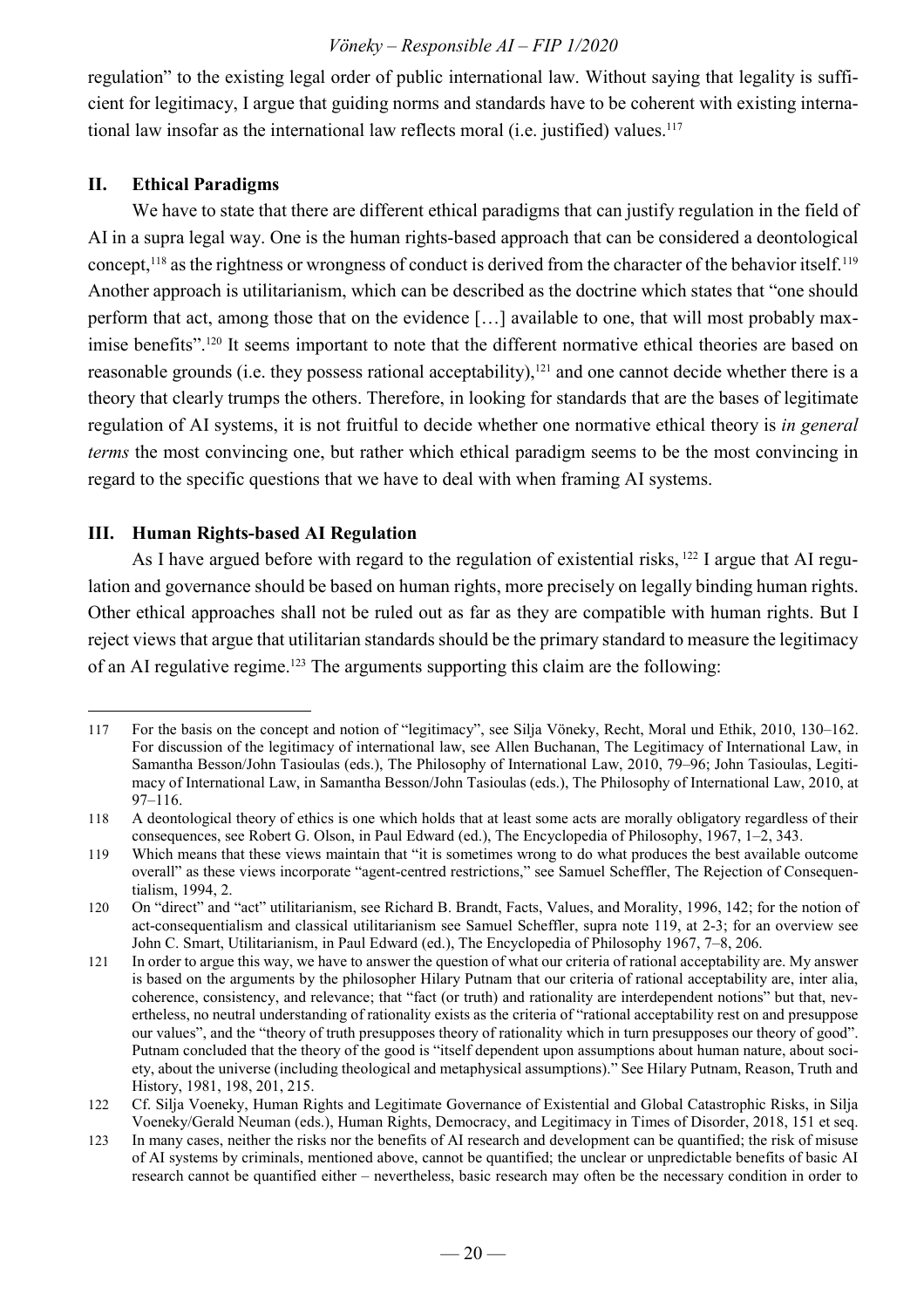regulation" to the existing legal order of public international law. Without saying that legality is sufficient for legitimacy, I argue that guiding norms and standards have to be coherent with existing international law insofar as the international law reflects moral (i.e. justified) values.<sup>117</sup>

#### **II. Ethical Paradigms**

We have to state that there are different ethical paradigms that can justify regulation in the field of AI in a supra legal way. One is the human rights-based approach that can be considered a deontological concept,<sup>118</sup> as the rightness or wrongness of conduct is derived from the character of the behavior itself.<sup>119</sup> Another approach is utilitarianism, which can be described as the doctrine which states that "one should perform that act, among those that on the evidence […] available to one, that will most probably maximise benefits".<sup>120</sup> It seems important to note that the different normative ethical theories are based on reasonable grounds (i.e. they possess rational acceptability),<sup>121</sup> and one cannot decide whether there is a theory that clearly trumps the others. Therefore, in looking for standards that are the bases of legitimate regulation of AI systems, it is not fruitful to decide whether one normative ethical theory is *in general terms* the most convincing one, but rather which ethical paradigm seems to be the most convincing in regard to the specific questions that we have to deal with when framing AI systems.

#### **III. Human Rights-based AI Regulation**

As I have argued before with regard to the regulation of existential risks, <sup>122</sup> I argue that AI regulation and governance should be based on human rights, more precisely on legally binding human rights. Other ethical approaches shall not be ruled out as far as they are compatible with human rights. But I reject views that argue that utilitarian standards should be the primary standard to measure the legitimacy of an AI regulative regime.<sup>123</sup> The arguments supporting this claim are the following:

 $\overline{a}$ 117 For the basis on the concept and notion of "legitimacy", see Silja Vöneky, Recht, Moral und Ethik, 2010, 130–162. For discussion of the legitimacy of international law, see Allen Buchanan, The Legitimacy of International Law, in Samantha Besson/John Tasioulas (eds.), The Philosophy of International Law, 2010, 79–96; John Tasioulas, Legitimacy of International Law, in Samantha Besson/John Tasioulas (eds.), The Philosophy of International Law, 2010, at 97–116.

<sup>118</sup> A deontological theory of ethics is one which holds that at least some acts are morally obligatory regardless of their consequences, see Robert G. Olson, in Paul Edward (ed.), The Encyclopedia of Philosophy, 1967, 1–2, 343.

<sup>119</sup> Which means that these views maintain that "it is sometimes wrong to do what produces the best available outcome overall" as these views incorporate "agent-centred restrictions," see Samuel Scheffler, The Rejection of Consequentialism, 1994, 2.

<sup>120</sup> On "direct" and "act" utilitarianism, see Richard B. Brandt, Facts, Values, and Morality, 1996, 142; for the notion of act-consequentialism and classical utilitarianism see Samuel Scheffler, supra note 119, at 2-3; for an overview see John C. Smart, Utilitarianism, in Paul Edward (ed.), The Encyclopedia of Philosophy 1967, 7–8, 206.

<sup>121</sup> In order to argue this way, we have to answer the question of what our criteria of rational acceptability are. My answer is based on the arguments by the philosopher Hilary Putnam that our criteria of rational acceptability are, inter alia, coherence, consistency, and relevance; that "fact (or truth) and rationality are interdependent notions" but that, nevertheless, no neutral understanding of rationality exists as the criteria of "rational acceptability rest on and presuppose our values", and the "theory of truth presupposes theory of rationality which in turn presupposes our theory of good". Putnam concluded that the theory of the good is "itself dependent upon assumptions about human nature, about society, about the universe (including theological and metaphysical assumptions)." See Hilary Putnam, Reason, Truth and History, 1981, 198, 201, 215.

<sup>122</sup> Cf. Silja Voeneky, Human Rights and Legitimate Governance of Existential and Global Catastrophic Risks, in Silja Voeneky/Gerald Neuman (eds.), Human Rights, Democracy, and Legitimacy in Times of Disorder, 2018, 151 et seq.

<sup>123</sup> In many cases, neither the risks nor the benefits of AI research and development can be quantified; the risk of misuse of AI systems by criminals, mentioned above, cannot be quantified; the unclear or unpredictable benefits of basic AI research cannot be quantified either – nevertheless, basic research may often be the necessary condition in order to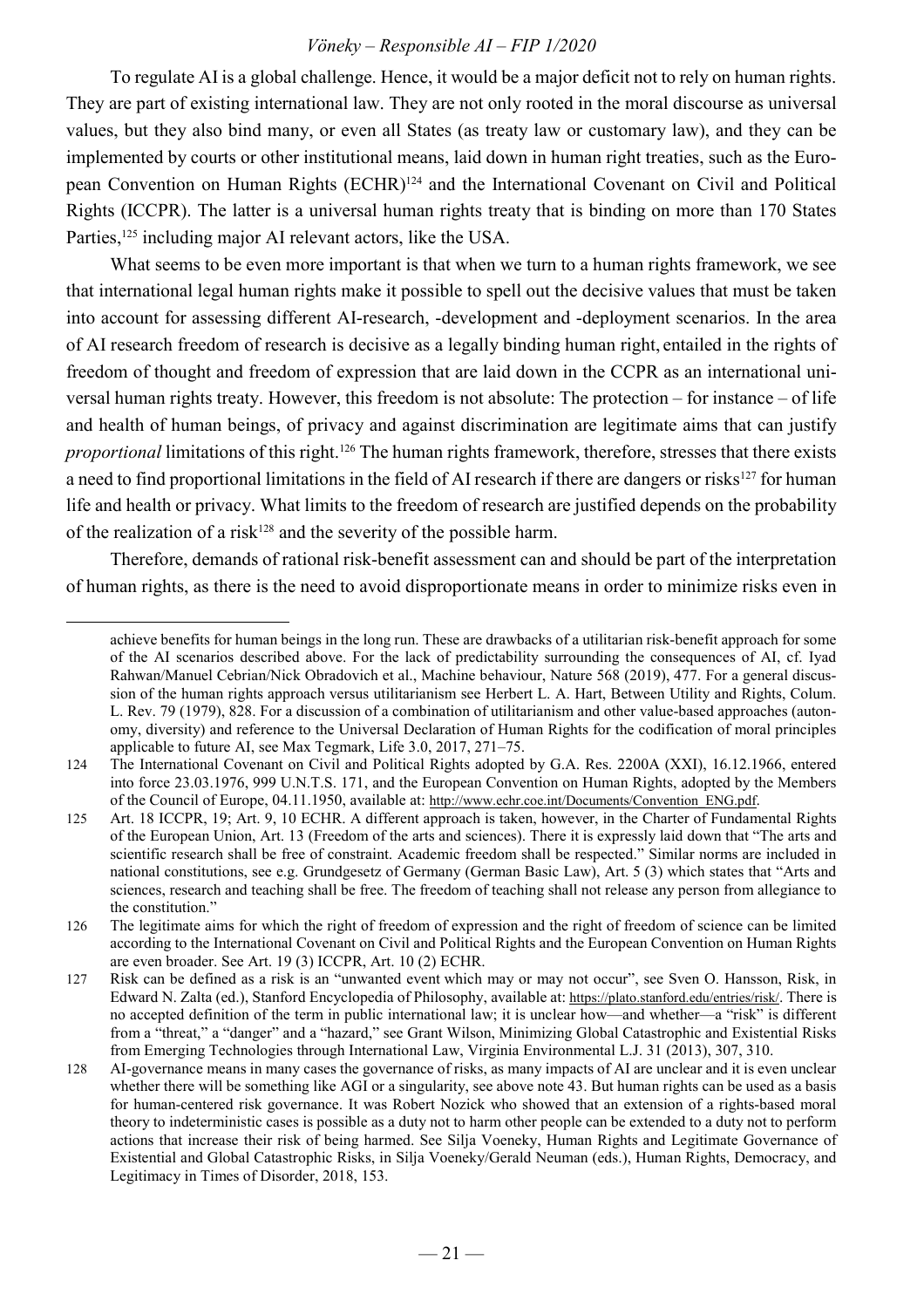To regulate AI is a global challenge. Hence, it would be a major deficit not to rely on human rights. They are part of existing international law. They are not only rooted in the moral discourse as universal values, but they also bind many, or even all States (as treaty law or customary law), and they can be implemented by courts or other institutional means, laid down in human right treaties, such as the European Convention on Human Rights (ECHR)<sup>124</sup> and the International Covenant on Civil and Political Rights (ICCPR). The latter is a universal human rights treaty that is binding on more than 170 States Parties,<sup>125</sup> including major AI relevant actors, like the USA.

What seems to be even more important is that when we turn to a human rights framework, we see that international legal human rights make it possible to spell out the decisive values that must be taken into account for assessing different AI-research, -development and -deployment scenarios. In the area of AI research freedom of research is decisive as a legally binding human right, entailed in the rights of freedom of thought and freedom of expression that are laid down in the CCPR as an international universal human rights treaty. However, this freedom is not absolute: The protection – for instance – of life and health of human beings, of privacy and against discrimination are legitimate aims that can justify *proportional* limitations of this right.<sup>126</sup> The human rights framework, therefore, stresses that there exists a need to find proportional limitations in the field of AI research if there are dangers or risks<sup>127</sup> for human life and health or privacy. What limits to the freedom of research are justified depends on the probability of the realization of a risk<sup>128</sup> and the severity of the possible harm.

Therefore, demands of rational risk-benefit assessment can and should be part of the interpretation of human rights, as there is the need to avoid disproportionate means in order to minimize risks even in

achieve benefits for human beings in the long run. These are drawbacks of a utilitarian risk-benefit approach for some of the AI scenarios described above. For the lack of predictability surrounding the consequences of AI, cf. Iyad Rahwan/Manuel Cebrian/Nick Obradovich et al., Machine behaviour, Nature 568 (2019), 477. For a general discussion of the human rights approach versus utilitarianism see Herbert L. A. Hart, Between Utility and Rights, Colum. L. Rev. 79 (1979), 828. For a discussion of a combination of utilitarianism and other value-based approaches (autonomy, diversity) and reference to the Universal Declaration of Human Rights for the codification of moral principles applicable to future AI, see Max Tegmark, Life 3.0, 2017, 271–75.

<sup>124</sup> The International Covenant on Civil and Political Rights adopted by G.A. Res. 2200A (XXI), 16.12.1966, entered into force 23.03.1976, 999 U.N.T.S. 171, and the European Convention on Human Rights, adopted by the Members of the Council of Europe, 04.11.1950, available at: http://www.echr.coe.int/Documents/Convention\_ENG.pdf.

<sup>125</sup> Art. 18 ICCPR, 19; Art. 9, 10 ECHR. A different approach is taken, however, in the Charter of Fundamental Rights of the European Union, Art. 13 (Freedom of the arts and sciences). There it is expressly laid down that "The arts and scientific research shall be free of constraint. Academic freedom shall be respected." Similar norms are included in national constitutions, see e.g. Grundgesetz of Germany (German Basic Law), Art. 5 (3) which states that "Arts and sciences, research and teaching shall be free. The freedom of teaching shall not release any person from allegiance to the constitution."

<sup>126</sup> The legitimate aims for which the right of freedom of expression and the right of freedom of science can be limited according to the International Covenant on Civil and Political Rights and the European Convention on Human Rights are even broader. See Art. 19 (3) ICCPR, Art. 10 (2) ECHR.

<sup>127</sup> Risk can be defined as a risk is an "unwanted event which may or may not occur", see Sven O. Hansson, Risk, in Edward N. Zalta (ed.), Stanford Encyclopedia of Philosophy, available at: https://plato.stanford.edu/entries/risk/. There is no accepted definition of the term in public international law; it is unclear how—and whether—a "risk" is different from a "threat," a "danger" and a "hazard," see Grant Wilson, Minimizing Global Catastrophic and Existential Risks from Emerging Technologies through International Law, Virginia Environmental L.J. 31 (2013), 307, 310.

<sup>128</sup> AI-governance means in many cases the governance of risks, as many impacts of AI are unclear and it is even unclear whether there will be something like AGI or a singularity, see above note 43. But human rights can be used as a basis for human-centered risk governance. It was Robert Nozick who showed that an extension of a rights-based moral theory to indeterministic cases is possible as a duty not to harm other people can be extended to a duty not to perform actions that increase their risk of being harmed. See Silja Voeneky, Human Rights and Legitimate Governance of Existential and Global Catastrophic Risks, in Silja Voeneky/Gerald Neuman (eds.), Human Rights, Democracy, and Legitimacy in Times of Disorder, 2018, 153.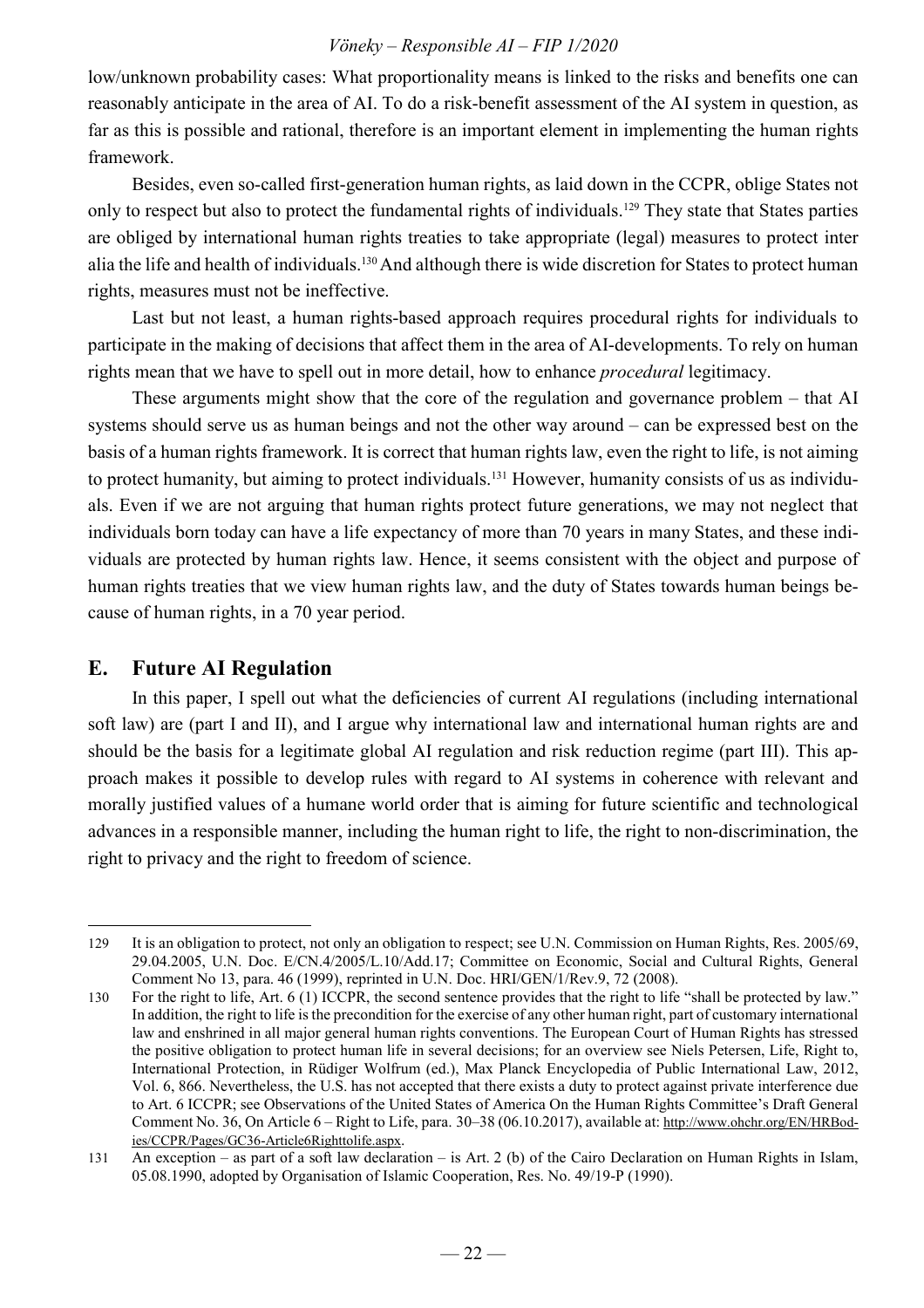low/unknown probability cases: What proportionality means is linked to the risks and benefits one can reasonably anticipate in the area of AI. To do a risk-benefit assessment of the AI system in question, as far as this is possible and rational, therefore is an important element in implementing the human rights framework.

Besides, even so-called first-generation human rights, as laid down in the CCPR, oblige States not only to respect but also to protect the fundamental rights of individuals.<sup>129</sup> They state that States parties are obliged by international human rights treaties to take appropriate (legal) measures to protect inter alia the life and health of individuals.<sup>130</sup> And although there is wide discretion for States to protect human rights, measures must not be ineffective.

Last but not least, a human rights-based approach requires procedural rights for individuals to participate in the making of decisions that affect them in the area of AI-developments. To rely on human rights mean that we have to spell out in more detail, how to enhance *procedural* legitimacy.

These arguments might show that the core of the regulation and governance problem – that AI systems should serve us as human beings and not the other way around – can be expressed best on the basis of a human rights framework. It is correct that human rights law, even the right to life, is not aiming to protect humanity, but aiming to protect individuals.131 However, humanity consists of us as individuals. Even if we are not arguing that human rights protect future generations, we may not neglect that individuals born today can have a life expectancy of more than 70 years in many States, and these individuals are protected by human rights law. Hence, it seems consistent with the object and purpose of human rights treaties that we view human rights law, and the duty of States towards human beings because of human rights, in a 70 year period.

#### **E. Future AI Regulation**

 $\overline{a}$ 

In this paper, I spell out what the deficiencies of current AI regulations (including international soft law) are (part I and II), and I argue why international law and international human rights are and should be the basis for a legitimate global AI regulation and risk reduction regime (part III). This approach makes it possible to develop rules with regard to AI systems in coherence with relevant and morally justified values of a humane world order that is aiming for future scientific and technological advances in a responsible manner, including the human right to life, the right to non-discrimination, the right to privacy and the right to freedom of science.

<sup>129</sup> It is an obligation to protect, not only an obligation to respect; see U.N. Commission on Human Rights, Res. 2005/69, 29.04.2005, U.N. Doc. E/CN.4/2005/L.10/Add.17; Committee on Economic, Social and Cultural Rights, General Comment No 13, para. 46 (1999), reprinted in U.N. Doc. HRI/GEN/1/Rev.9, 72 (2008).

<sup>130</sup> For the right to life, Art. 6 (1) ICCPR, the second sentence provides that the right to life "shall be protected by law." In addition, the right to life is the precondition for the exercise of any other human right, part of customary international law and enshrined in all major general human rights conventions. The European Court of Human Rights has stressed the positive obligation to protect human life in several decisions; for an overview see Niels Petersen, Life, Right to, International Protection, in Rüdiger Wolfrum (ed.), Max Planck Encyclopedia of Public International Law, 2012, Vol. 6, 866. Nevertheless, the U.S. has not accepted that there exists a duty to protect against private interference due to Art. 6 ICCPR; see Observations of the United States of America On the Human Rights Committee's Draft General Comment No. 36, On Article 6 – Right to Life, para. 30–38 (06.10.2017), available at: http://www.ohchr.org/EN/HRBodies/CCPR/Pages/GC36-Article6Righttolife.aspx.

<sup>131</sup> An exception – as part of a soft law declaration – is Art. 2 (b) of the Cairo Declaration on Human Rights in Islam, 05.08.1990, adopted by Organisation of Islamic Cooperation, Res. No. 49/19-P (1990).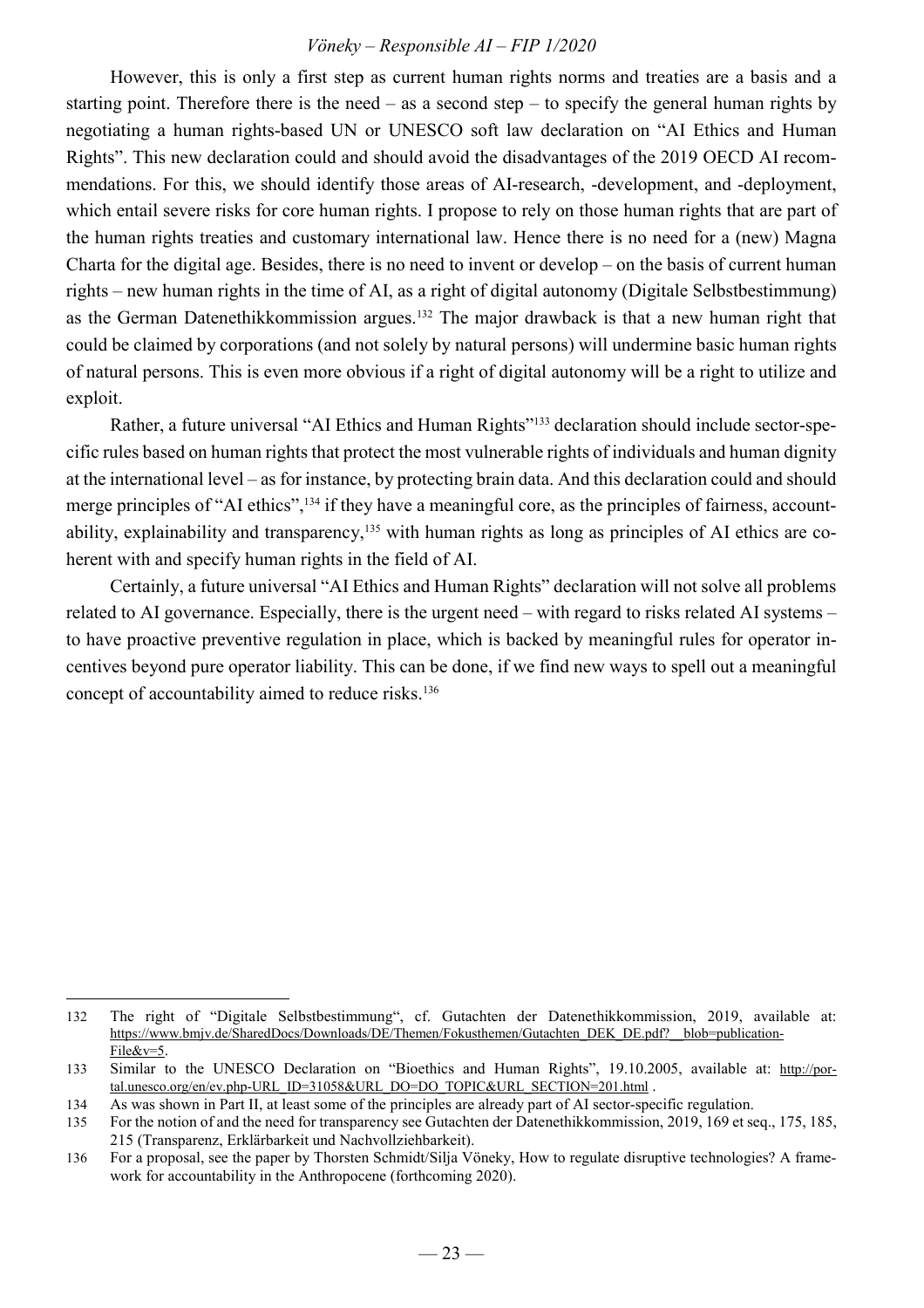However, this is only a first step as current human rights norms and treaties are a basis and a starting point. Therefore there is the need – as a second step – to specify the general human rights by negotiating a human rights-based UN or UNESCO soft law declaration on "AI Ethics and Human Rights". This new declaration could and should avoid the disadvantages of the 2019 OECD AI recommendations. For this, we should identify those areas of AI-research, -development, and -deployment, which entail severe risks for core human rights. I propose to rely on those human rights that are part of the human rights treaties and customary international law. Hence there is no need for a (new) Magna Charta for the digital age. Besides, there is no need to invent or develop – on the basis of current human rights – new human rights in the time of AI, as a right of digital autonomy (Digitale Selbstbestimmung) as the German Datenethikkommission argues.<sup>132</sup> The major drawback is that a new human right that could be claimed by corporations (and not solely by natural persons) will undermine basic human rights of natural persons. This is even more obvious if a right of digital autonomy will be a right to utilize and exploit.

Rather, a future universal "AI Ethics and Human Rights"133 declaration should include sector-specific rules based on human rights that protect the most vulnerable rights of individuals and human dignity at the international level – as for instance, by protecting brain data. And this declaration could and should merge principles of "AI ethics", <sup>134</sup> if they have a meaningful core, as the principles of fairness, accountability, explainability and transparency,<sup>135</sup> with human rights as long as principles of AI ethics are coherent with and specify human rights in the field of AI.

Certainly, a future universal "AI Ethics and Human Rights" declaration will not solve all problems related to AI governance. Especially, there is the urgent need – with regard to risks related AI systems – to have proactive preventive regulation in place, which is backed by meaningful rules for operator incentives beyond pure operator liability. This can be done, if we find new ways to spell out a meaningful concept of accountability aimed to reduce risks.<sup>136</sup>

l

<sup>132</sup> The right of "Digitale Selbstbestimmung", cf. Gutachten der Datenethikkommission, 2019, available at: https://www.bmjv.de/SharedDocs/Downloads/DE/Themen/Fokusthemen/Gutachten\_DEK\_DE.pdf?\_\_blob=publication-File&v=5.

<sup>133</sup> Similar to the UNESCO Declaration on "Bioethics and Human Rights", 19.10.2005, available at: http://portal.unesco.org/en/ev.php-URL\_ID=31058&URL\_DO=DO\_TOPIC&URL\_SECTION=201.html .

<sup>134</sup> As was shown in Part II, at least some of the principles are already part of AI sector-specific regulation.

<sup>135</sup> For the notion of and the need for transparency see Gutachten der Datenethikkommission, 2019, 169 et seq., 175, 185, 215 (Transparenz, Erklärbarkeit und Nachvollziehbarkeit).

<sup>136</sup> For a proposal, see the paper by Thorsten Schmidt/Silja Vöneky, How to regulate disruptive technologies? A framework for accountability in the Anthropocene (forthcoming 2020).